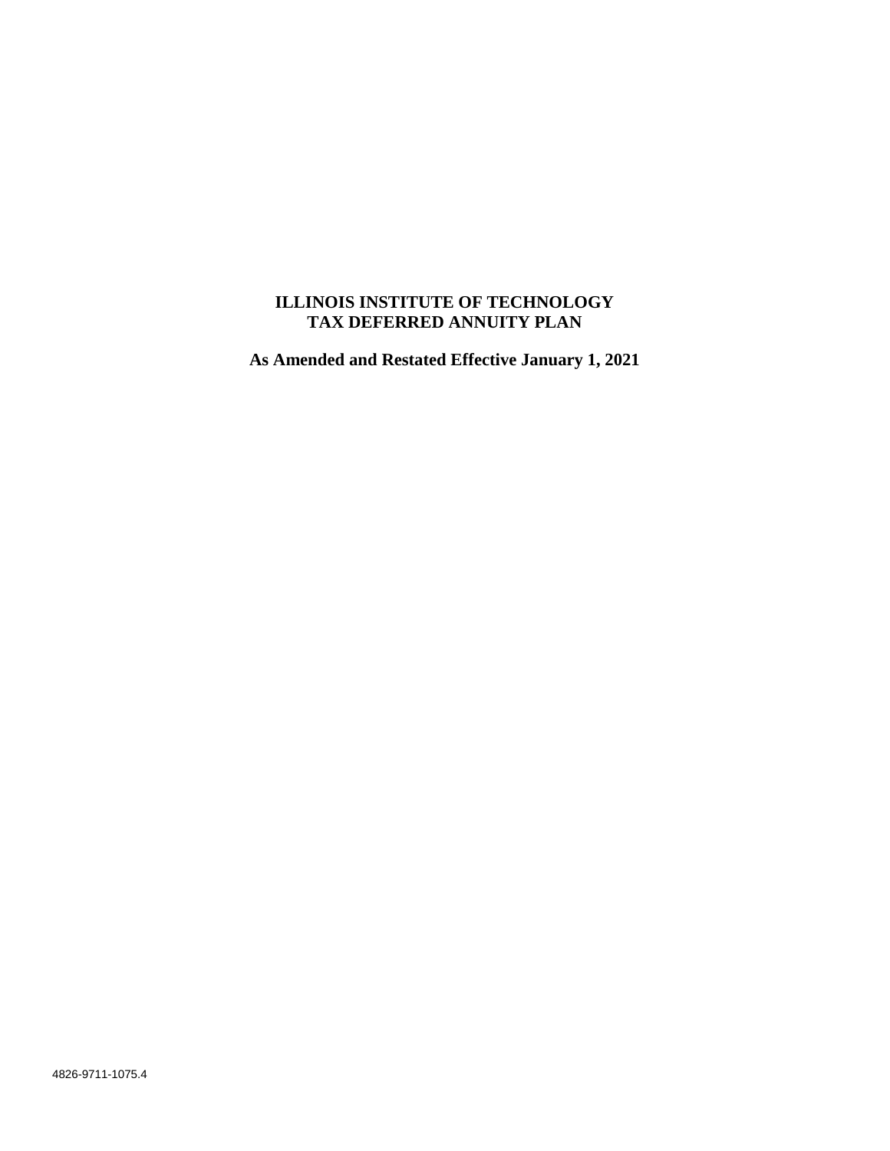# **ILLINOIS INSTITUTE OF TECHNOLOGY TAX DEFERRED ANNUITY PLAN**

**As Amended and Restated Effective January 1, 2021**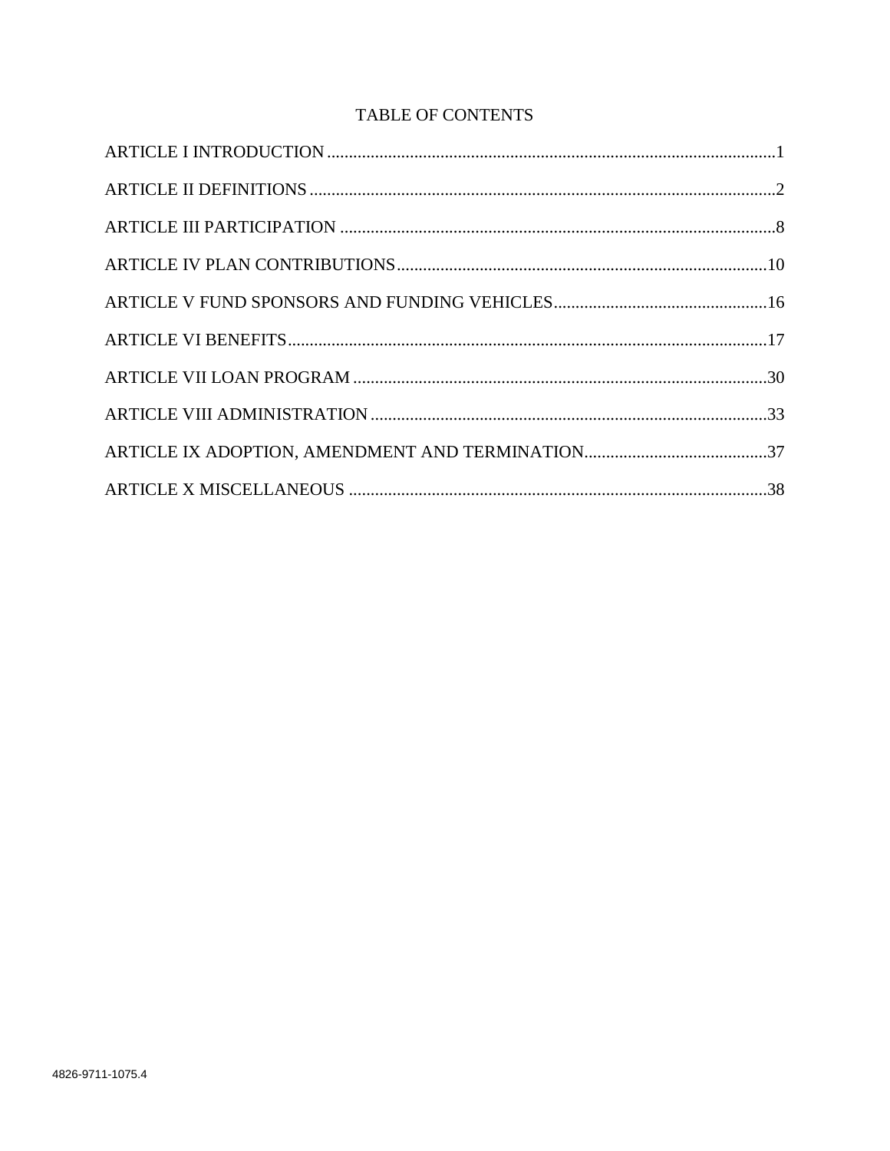# TABLE OF CONTENTS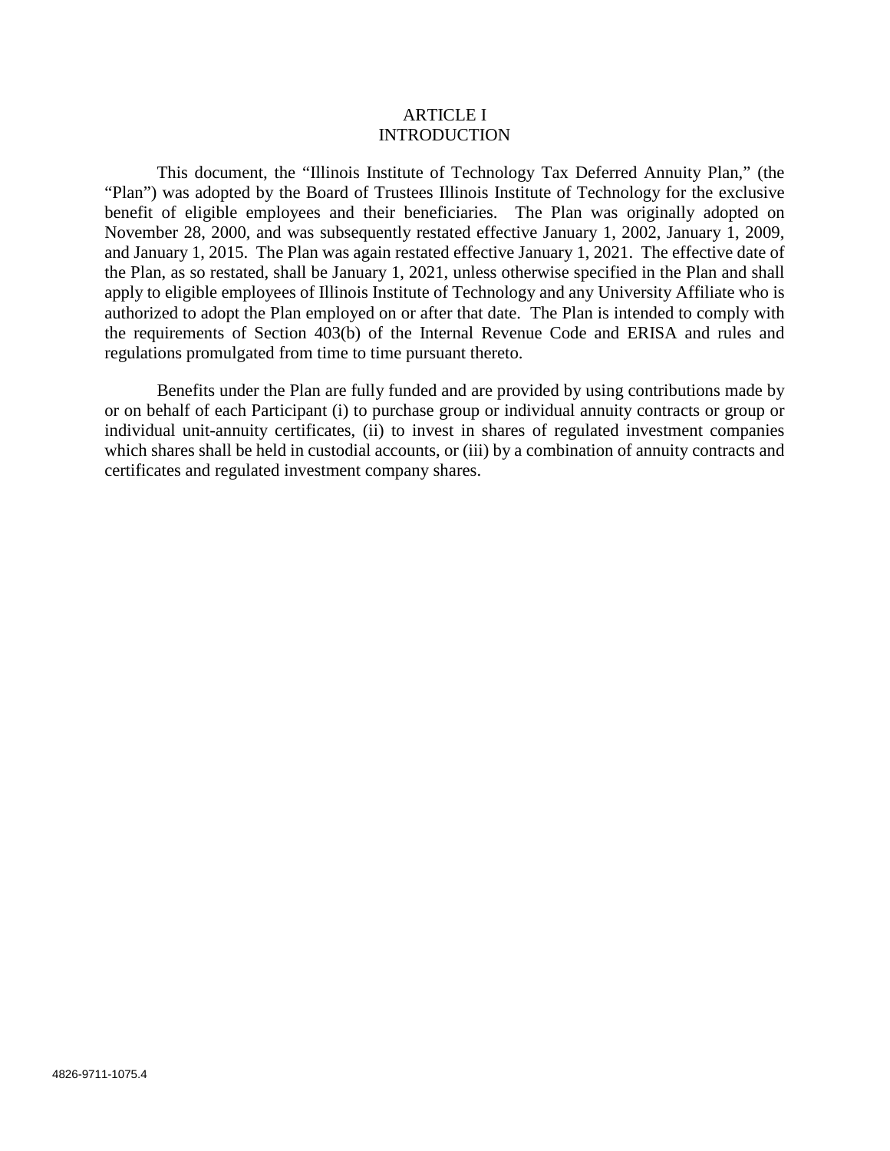#### ARTICLE I **INTRODUCTION**

This document, the "Illinois Institute of Technology Tax Deferred Annuity Plan," (the "Plan") was adopted by the Board of Trustees Illinois Institute of Technology for the exclusive benefit of eligible employees and their beneficiaries. The Plan was originally adopted on November 28, 2000, and was subsequently restated effective January 1, 2002, January 1, 2009, and January 1, 2015. The Plan was again restated effective January 1, 2021. The effective date of the Plan, as so restated, shall be January 1, 2021, unless otherwise specified in the Plan and shall apply to eligible employees of Illinois Institute of Technology and any University Affiliate who is authorized to adopt the Plan employed on or after that date. The Plan is intended to comply with the requirements of Section 403(b) of the Internal Revenue Code and ERISA and rules and regulations promulgated from time to time pursuant thereto.

Benefits under the Plan are fully funded and are provided by using contributions made by or on behalf of each Participant (i) to purchase group or individual annuity contracts or group or individual unit-annuity certificates, (ii) to invest in shares of regulated investment companies which shares shall be held in custodial accounts, or (iii) by a combination of annuity contracts and certificates and regulated investment company shares.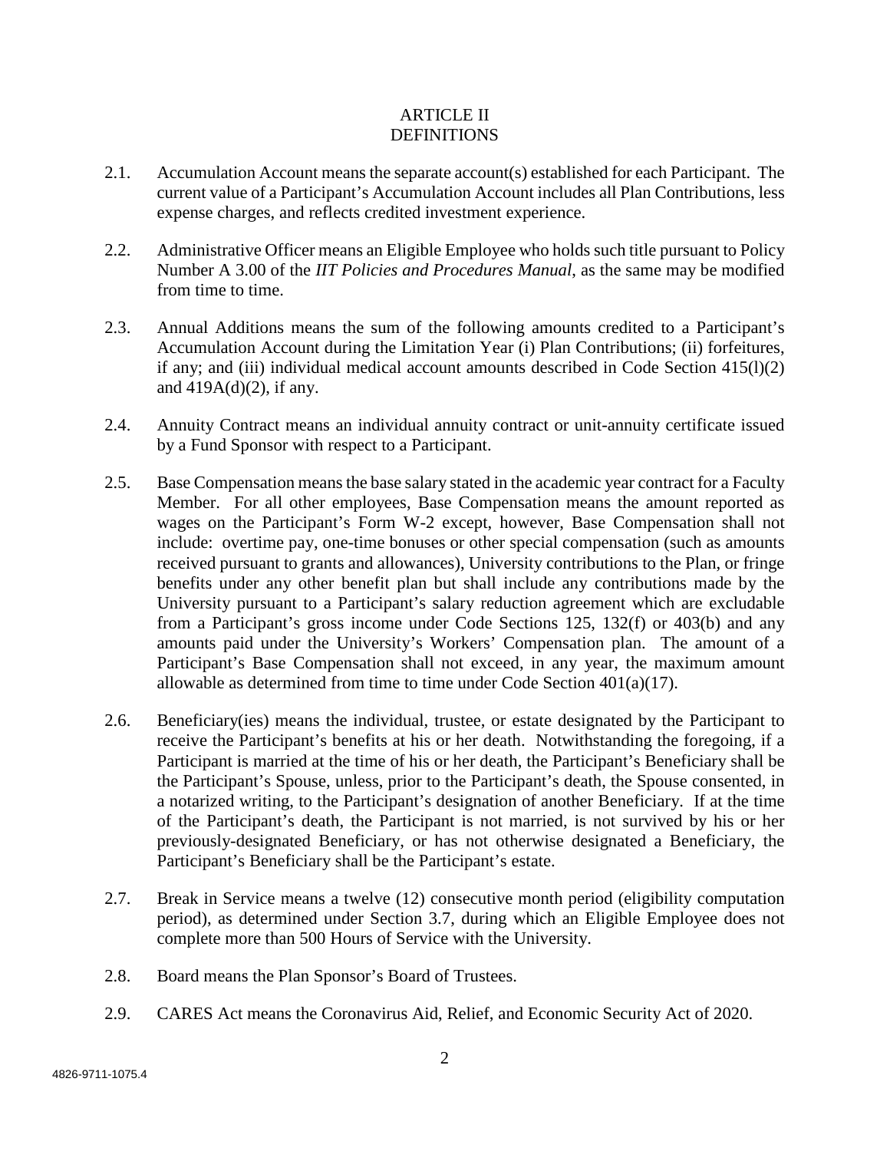# ARTICLE II DEFINITIONS

- 2.1. Accumulation Account means the separate account(s) established for each Participant. The current value of a Participant's Accumulation Account includes all Plan Contributions, less expense charges, and reflects credited investment experience.
- 2.2. Administrative Officer means an Eligible Employee who holds such title pursuant to Policy Number A 3.00 of the *IIT Policies and Procedures Manual*, as the same may be modified from time to time.
- 2.3. Annual Additions means the sum of the following amounts credited to a Participant's Accumulation Account during the Limitation Year (i) Plan Contributions; (ii) forfeitures, if any; and (iii) individual medical account amounts described in Code Section 415(l)(2) and 419A(d)(2), if any.
- 2.4. Annuity Contract means an individual annuity contract or unit-annuity certificate issued by a Fund Sponsor with respect to a Participant.
- 2.5. Base Compensation means the base salary stated in the academic year contract for a Faculty Member. For all other employees, Base Compensation means the amount reported as wages on the Participant's Form W-2 except, however, Base Compensation shall not include: overtime pay, one-time bonuses or other special compensation (such as amounts received pursuant to grants and allowances), University contributions to the Plan, or fringe benefits under any other benefit plan but shall include any contributions made by the University pursuant to a Participant's salary reduction agreement which are excludable from a Participant's gross income under Code Sections 125, 132(f) or 403(b) and any amounts paid under the University's Workers' Compensation plan. The amount of a Participant's Base Compensation shall not exceed, in any year, the maximum amount allowable as determined from time to time under Code Section 401(a)(17).
- 2.6. Beneficiary(ies) means the individual, trustee, or estate designated by the Participant to receive the Participant's benefits at his or her death. Notwithstanding the foregoing, if a Participant is married at the time of his or her death, the Participant's Beneficiary shall be the Participant's Spouse, unless, prior to the Participant's death, the Spouse consented, in a notarized writing, to the Participant's designation of another Beneficiary. If at the time of the Participant's death, the Participant is not married, is not survived by his or her previously-designated Beneficiary, or has not otherwise designated a Beneficiary, the Participant's Beneficiary shall be the Participant's estate.
- 2.7. Break in Service means a twelve (12) consecutive month period (eligibility computation period), as determined under Section 3.7, during which an Eligible Employee does not complete more than 500 Hours of Service with the University.
- 2.8. Board means the Plan Sponsor's Board of Trustees.
- 2.9. CARES Act means the Coronavirus Aid, Relief, and Economic Security Act of 2020.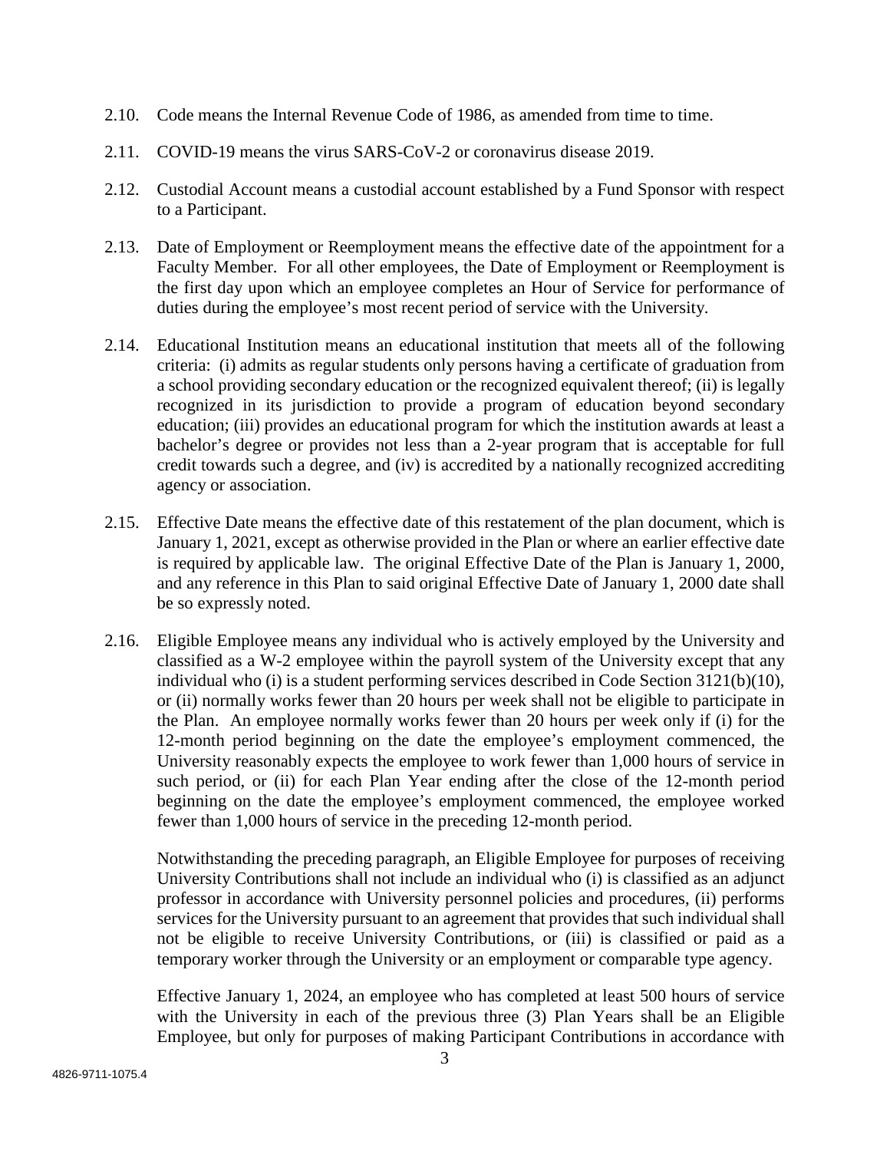- 2.10. Code means the Internal Revenue Code of 1986, as amended from time to time.
- 2.11. COVID-19 means the virus SARS-CoV-2 or coronavirus disease 2019.
- 2.12. Custodial Account means a custodial account established by a Fund Sponsor with respect to a Participant.
- 2.13. Date of Employment or Reemployment means the effective date of the appointment for a Faculty Member. For all other employees, the Date of Employment or Reemployment is the first day upon which an employee completes an Hour of Service for performance of duties during the employee's most recent period of service with the University.
- 2.14. Educational Institution means an educational institution that meets all of the following criteria: (i) admits as regular students only persons having a certificate of graduation from a school providing secondary education or the recognized equivalent thereof; (ii) is legally recognized in its jurisdiction to provide a program of education beyond secondary education; (iii) provides an educational program for which the institution awards at least a bachelor's degree or provides not less than a 2-year program that is acceptable for full credit towards such a degree, and (iv) is accredited by a nationally recognized accrediting agency or association.
- 2.15. Effective Date means the effective date of this restatement of the plan document, which is January 1, 2021, except as otherwise provided in the Plan or where an earlier effective date is required by applicable law. The original Effective Date of the Plan is January 1, 2000, and any reference in this Plan to said original Effective Date of January 1, 2000 date shall be so expressly noted.
- 2.16. Eligible Employee means any individual who is actively employed by the University and classified as a W-2 employee within the payroll system of the University except that any individual who (i) is a student performing services described in Code Section 3121(b)(10), or (ii) normally works fewer than 20 hours per week shall not be eligible to participate in the Plan. An employee normally works fewer than 20 hours per week only if (i) for the 12-month period beginning on the date the employee's employment commenced, the University reasonably expects the employee to work fewer than 1,000 hours of service in such period, or (ii) for each Plan Year ending after the close of the 12-month period beginning on the date the employee's employment commenced, the employee worked fewer than 1,000 hours of service in the preceding 12-month period.

Notwithstanding the preceding paragraph, an Eligible Employee for purposes of receiving University Contributions shall not include an individual who (i) is classified as an adjunct professor in accordance with University personnel policies and procedures, (ii) performs services for the University pursuant to an agreement that provides that such individual shall not be eligible to receive University Contributions, or (iii) is classified or paid as a temporary worker through the University or an employment or comparable type agency.

Effective January 1, 2024, an employee who has completed at least 500 hours of service with the University in each of the previous three (3) Plan Years shall be an Eligible Employee, but only for purposes of making Participant Contributions in accordance with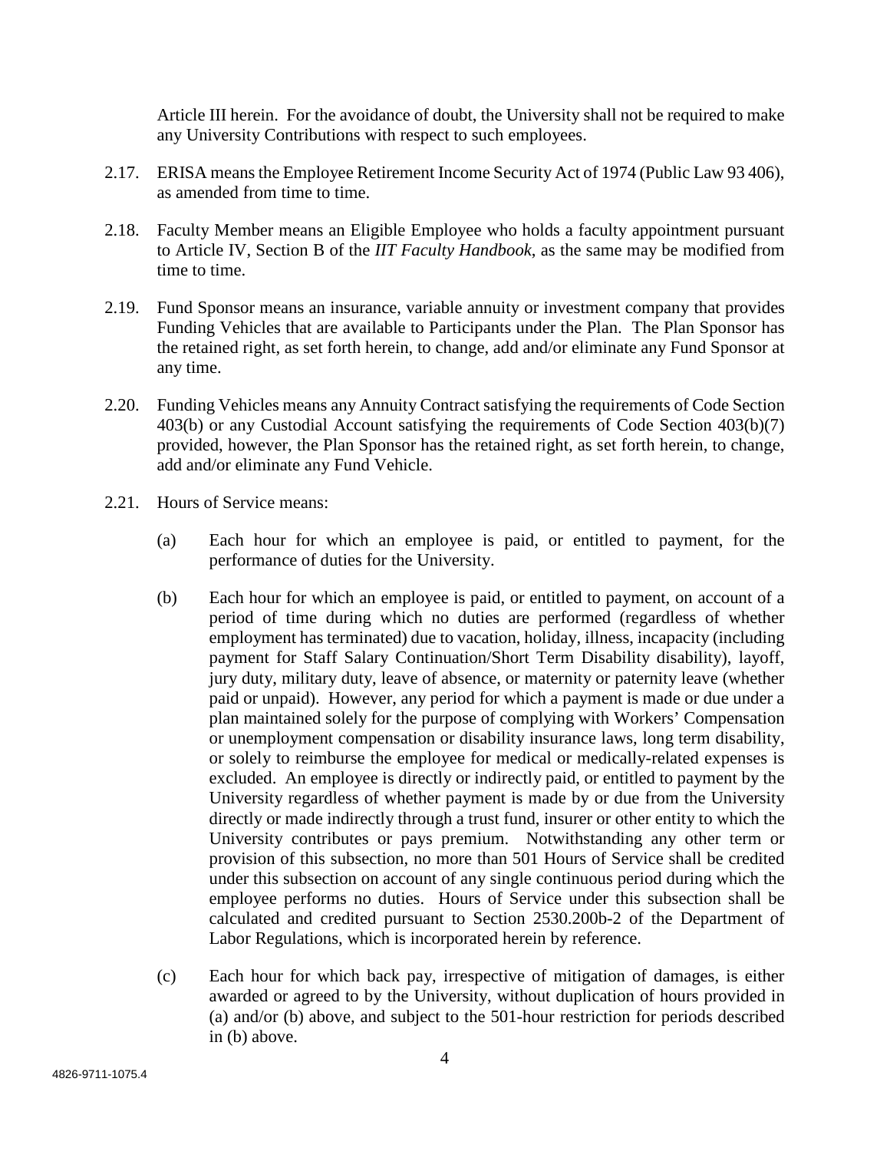Article III herein. For the avoidance of doubt, the University shall not be required to make any University Contributions with respect to such employees.

- 2.17. ERISA means the Employee Retirement Income Security Act of 1974 (Public Law 93 406), as amended from time to time.
- 2.18. Faculty Member means an Eligible Employee who holds a faculty appointment pursuant to Article IV, Section B of the *IIT Faculty Handbook*, as the same may be modified from time to time.
- 2.19. Fund Sponsor means an insurance, variable annuity or investment company that provides Funding Vehicles that are available to Participants under the Plan. The Plan Sponsor has the retained right, as set forth herein, to change, add and/or eliminate any Fund Sponsor at any time.
- 2.20. Funding Vehicles means any Annuity Contract satisfying the requirements of Code Section 403(b) or any Custodial Account satisfying the requirements of Code Section 403(b)(7) provided, however, the Plan Sponsor has the retained right, as set forth herein, to change, add and/or eliminate any Fund Vehicle.
- 2.21. Hours of Service means:
	- (a) Each hour for which an employee is paid, or entitled to payment, for the performance of duties for the University.
	- (b) Each hour for which an employee is paid, or entitled to payment, on account of a period of time during which no duties are performed (regardless of whether employment has terminated) due to vacation, holiday, illness, incapacity (including payment for Staff Salary Continuation/Short Term Disability disability), layoff, jury duty, military duty, leave of absence, or maternity or paternity leave (whether paid or unpaid). However, any period for which a payment is made or due under a plan maintained solely for the purpose of complying with Workers' Compensation or unemployment compensation or disability insurance laws, long term disability, or solely to reimburse the employee for medical or medically-related expenses is excluded. An employee is directly or indirectly paid, or entitled to payment by the University regardless of whether payment is made by or due from the University directly or made indirectly through a trust fund, insurer or other entity to which the University contributes or pays premium. Notwithstanding any other term or provision of this subsection, no more than 501 Hours of Service shall be credited under this subsection on account of any single continuous period during which the employee performs no duties. Hours of Service under this subsection shall be calculated and credited pursuant to Section 2530.200b-2 of the Department of Labor Regulations, which is incorporated herein by reference.
	- (c) Each hour for which back pay, irrespective of mitigation of damages, is either awarded or agreed to by the University, without duplication of hours provided in (a) and/or (b) above, and subject to the 501-hour restriction for periods described in (b) above.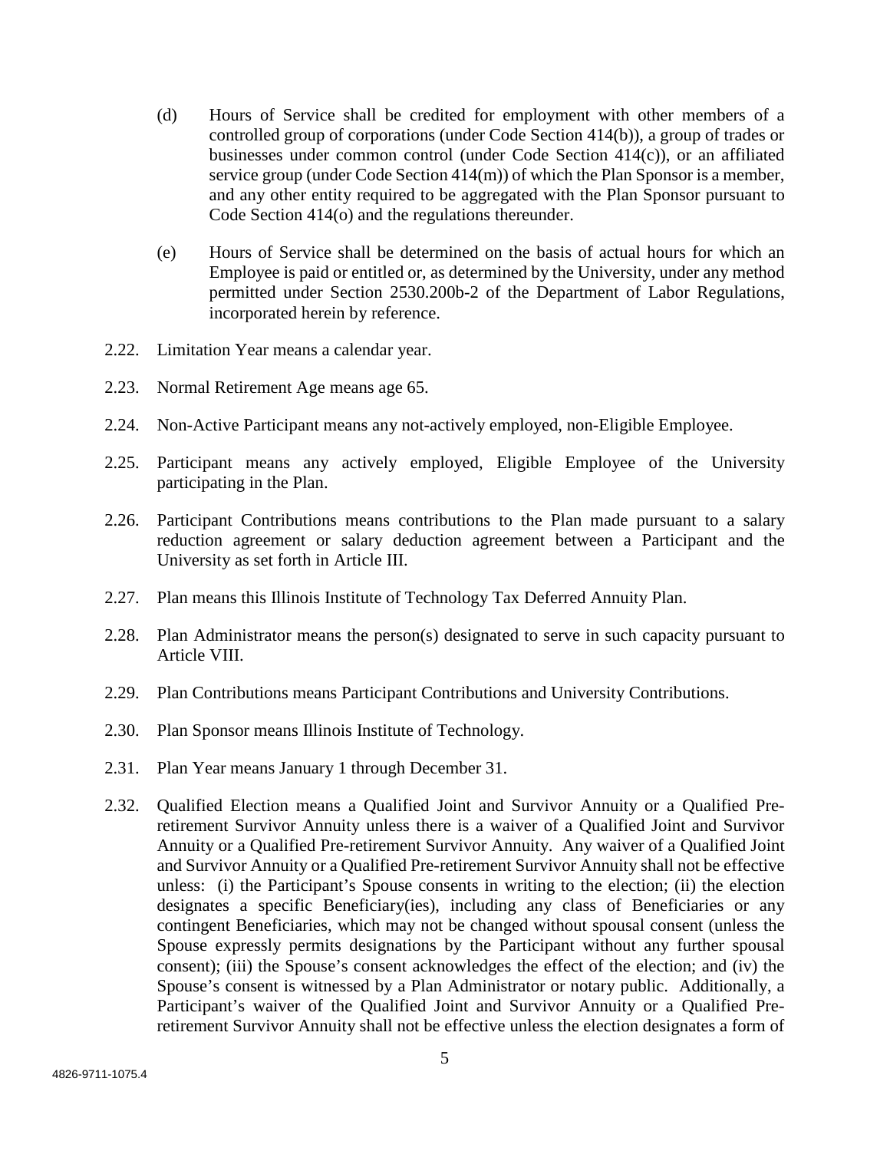- (d) Hours of Service shall be credited for employment with other members of a controlled group of corporations (under Code Section 414(b)), a group of trades or businesses under common control (under Code Section 414(c)), or an affiliated service group (under Code Section 414(m)) of which the Plan Sponsor is a member, and any other entity required to be aggregated with the Plan Sponsor pursuant to Code Section 414(o) and the regulations thereunder.
- (e) Hours of Service shall be determined on the basis of actual hours for which an Employee is paid or entitled or, as determined by the University, under any method permitted under Section 2530.200b-2 of the Department of Labor Regulations, incorporated herein by reference.
- 2.22. Limitation Year means a calendar year.
- 2.23. Normal Retirement Age means age 65.
- 2.24. Non-Active Participant means any not-actively employed, non-Eligible Employee.
- 2.25. Participant means any actively employed, Eligible Employee of the University participating in the Plan.
- 2.26. Participant Contributions means contributions to the Plan made pursuant to a salary reduction agreement or salary deduction agreement between a Participant and the University as set forth in Article III.
- 2.27. Plan means this Illinois Institute of Technology Tax Deferred Annuity Plan.
- 2.28. Plan Administrator means the person(s) designated to serve in such capacity pursuant to Article VIII.
- 2.29. Plan Contributions means Participant Contributions and University Contributions.
- 2.30. Plan Sponsor means Illinois Institute of Technology.
- 2.31. Plan Year means January 1 through December 31.
- 2.32. Qualified Election means a Qualified Joint and Survivor Annuity or a Qualified Preretirement Survivor Annuity unless there is a waiver of a Qualified Joint and Survivor Annuity or a Qualified Pre-retirement Survivor Annuity. Any waiver of a Qualified Joint and Survivor Annuity or a Qualified Pre-retirement Survivor Annuity shall not be effective unless: (i) the Participant's Spouse consents in writing to the election; (ii) the election designates a specific Beneficiary(ies), including any class of Beneficiaries or any contingent Beneficiaries, which may not be changed without spousal consent (unless the Spouse expressly permits designations by the Participant without any further spousal consent); (iii) the Spouse's consent acknowledges the effect of the election; and (iv) the Spouse's consent is witnessed by a Plan Administrator or notary public. Additionally, a Participant's waiver of the Qualified Joint and Survivor Annuity or a Qualified Preretirement Survivor Annuity shall not be effective unless the election designates a form of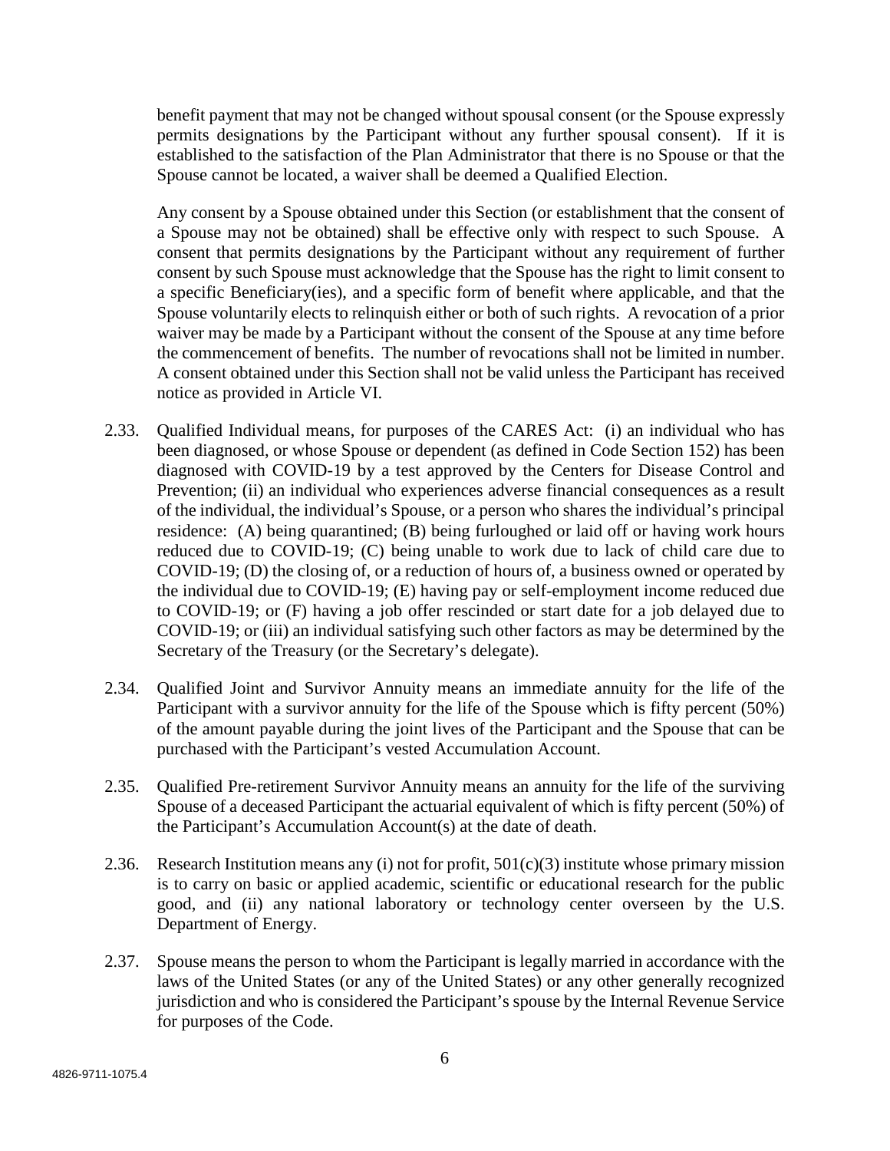benefit payment that may not be changed without spousal consent (or the Spouse expressly permits designations by the Participant without any further spousal consent). If it is established to the satisfaction of the Plan Administrator that there is no Spouse or that the Spouse cannot be located, a waiver shall be deemed a Qualified Election.

Any consent by a Spouse obtained under this Section (or establishment that the consent of a Spouse may not be obtained) shall be effective only with respect to such Spouse. A consent that permits designations by the Participant without any requirement of further consent by such Spouse must acknowledge that the Spouse has the right to limit consent to a specific Beneficiary(ies), and a specific form of benefit where applicable, and that the Spouse voluntarily elects to relinquish either or both of such rights. A revocation of a prior waiver may be made by a Participant without the consent of the Spouse at any time before the commencement of benefits. The number of revocations shall not be limited in number. A consent obtained under this Section shall not be valid unless the Participant has received notice as provided in Article VI.

- 2.33. Qualified Individual means, for purposes of the CARES Act: (i) an individual who has been diagnosed, or whose Spouse or dependent (as defined in Code Section 152) has been diagnosed with COVID-19 by a test approved by the Centers for Disease Control and Prevention; (ii) an individual who experiences adverse financial consequences as a result of the individual, the individual's Spouse, or a person who shares the individual's principal residence: (A) being quarantined; (B) being furloughed or laid off or having work hours reduced due to COVID-19; (C) being unable to work due to lack of child care due to COVID-19; (D) the closing of, or a reduction of hours of, a business owned or operated by the individual due to COVID-19; (E) having pay or self-employment income reduced due to COVID-19; or (F) having a job offer rescinded or start date for a job delayed due to COVID-19; or (iii) an individual satisfying such other factors as may be determined by the Secretary of the Treasury (or the Secretary's delegate).
- 2.34. Qualified Joint and Survivor Annuity means an immediate annuity for the life of the Participant with a survivor annuity for the life of the Spouse which is fifty percent (50%) of the amount payable during the joint lives of the Participant and the Spouse that can be purchased with the Participant's vested Accumulation Account.
- 2.35. Qualified Pre-retirement Survivor Annuity means an annuity for the life of the surviving Spouse of a deceased Participant the actuarial equivalent of which is fifty percent (50%) of the Participant's Accumulation Account(s) at the date of death.
- 2.36. Research Institution means any (i) not for profit,  $501(c)(3)$  institute whose primary mission is to carry on basic or applied academic, scientific or educational research for the public good, and (ii) any national laboratory or technology center overseen by the U.S. Department of Energy.
- 2.37. Spouse means the person to whom the Participant is legally married in accordance with the laws of the United States (or any of the United States) or any other generally recognized jurisdiction and who is considered the Participant's spouse by the Internal Revenue Service for purposes of the Code.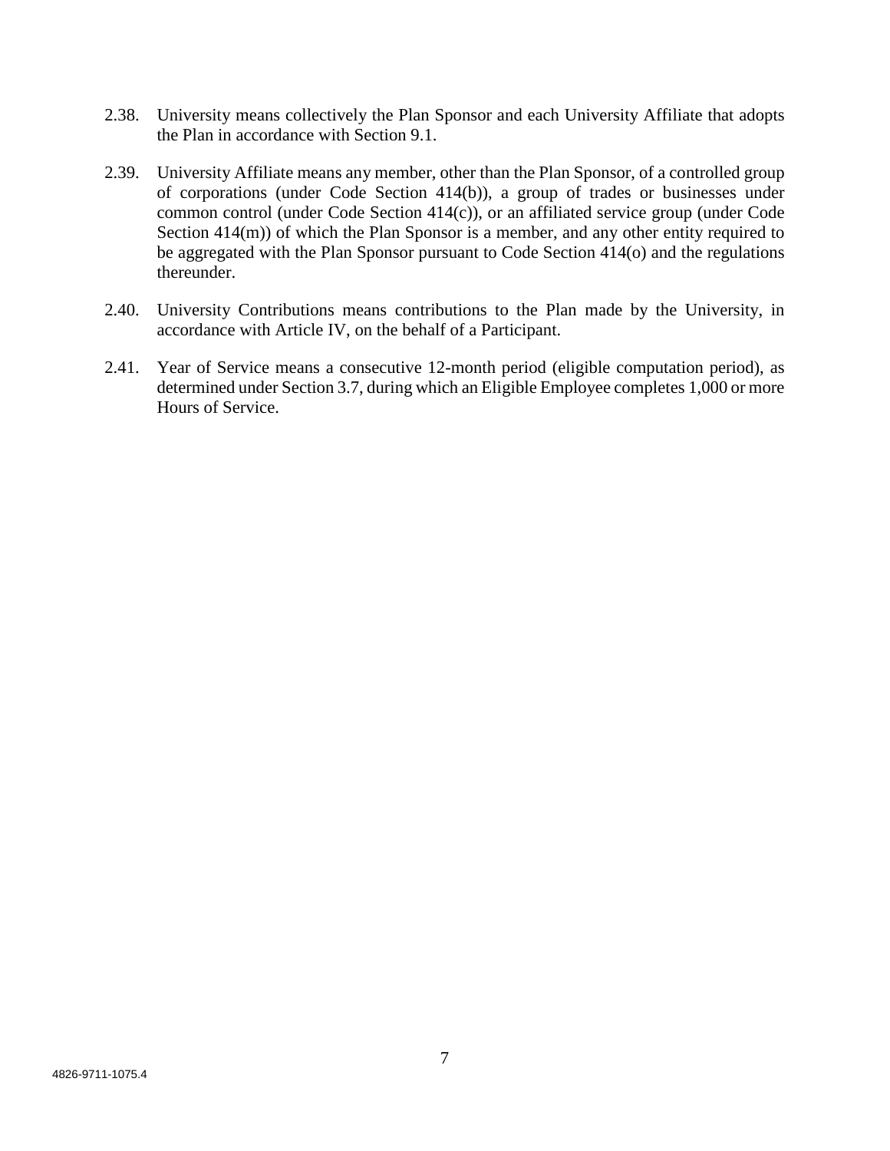- 2.38. University means collectively the Plan Sponsor and each University Affiliate that adopts the Plan in accordance with Section 9.1.
- 2.39. University Affiliate means any member, other than the Plan Sponsor, of a controlled group of corporations (under Code Section 414(b)), a group of trades or businesses under common control (under Code Section 414(c)), or an affiliated service group (under Code Section 414(m)) of which the Plan Sponsor is a member, and any other entity required to be aggregated with the Plan Sponsor pursuant to Code Section 414(o) and the regulations thereunder.
- 2.40. University Contributions means contributions to the Plan made by the University, in accordance with Article IV, on the behalf of a Participant.
- 2.41. Year of Service means a consecutive 12-month period (eligible computation period), as determined under Section 3.7, during which an Eligible Employee completes 1,000 or more Hours of Service.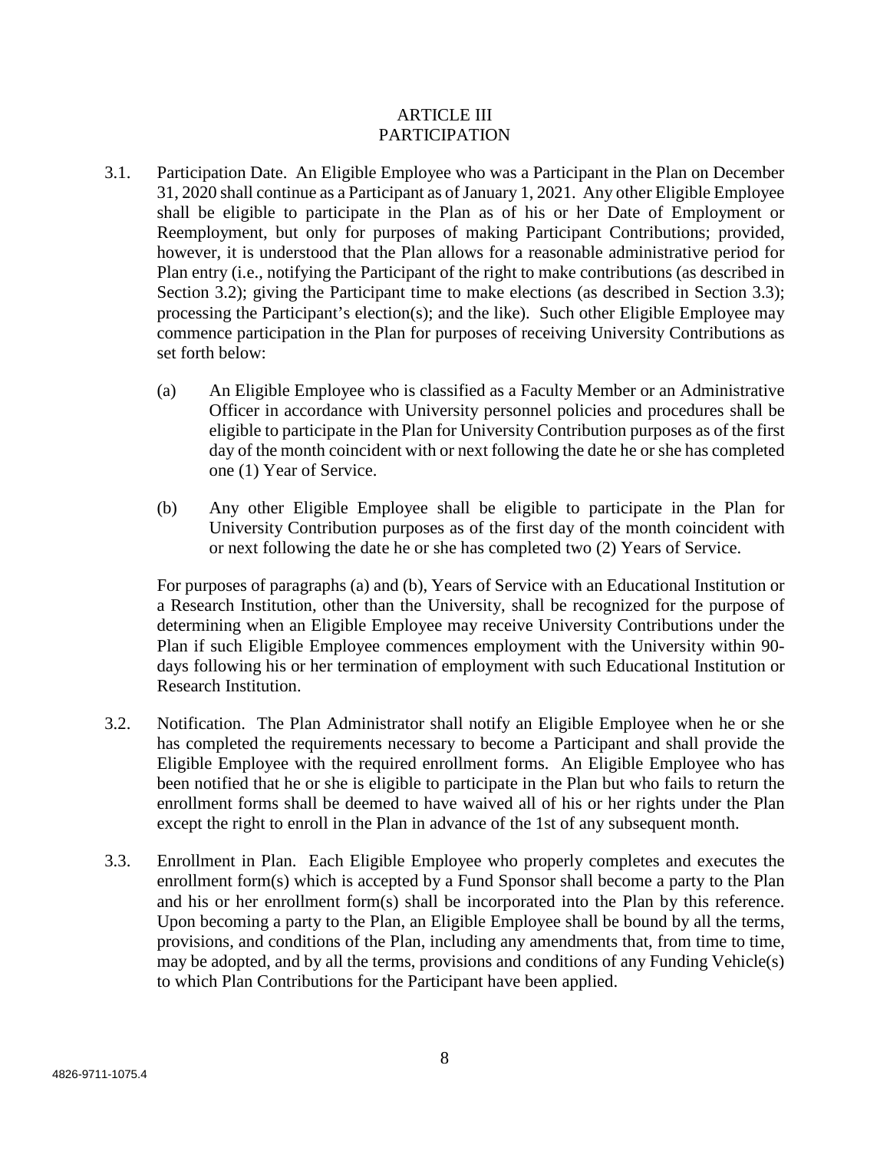# ARTICLE III PARTICIPATION

- 3.1. Participation Date. An Eligible Employee who was a Participant in the Plan on December 31, 2020 shall continue as a Participant as of January 1, 2021. Any other Eligible Employee shall be eligible to participate in the Plan as of his or her Date of Employment or Reemployment, but only for purposes of making Participant Contributions; provided, however, it is understood that the Plan allows for a reasonable administrative period for Plan entry (i.e., notifying the Participant of the right to make contributions (as described in Section 3.2); giving the Participant time to make elections (as described in Section 3.3); processing the Participant's election(s); and the like). Such other Eligible Employee may commence participation in the Plan for purposes of receiving University Contributions as set forth below:
	- (a) An Eligible Employee who is classified as a Faculty Member or an Administrative Officer in accordance with University personnel policies and procedures shall be eligible to participate in the Plan for University Contribution purposes as of the first day of the month coincident with or next following the date he or she has completed one (1) Year of Service.
	- (b) Any other Eligible Employee shall be eligible to participate in the Plan for University Contribution purposes as of the first day of the month coincident with or next following the date he or she has completed two (2) Years of Service.

For purposes of paragraphs (a) and (b), Years of Service with an Educational Institution or a Research Institution, other than the University, shall be recognized for the purpose of determining when an Eligible Employee may receive University Contributions under the Plan if such Eligible Employee commences employment with the University within 90 days following his or her termination of employment with such Educational Institution or Research Institution.

- 3.2. Notification. The Plan Administrator shall notify an Eligible Employee when he or she has completed the requirements necessary to become a Participant and shall provide the Eligible Employee with the required enrollment forms. An Eligible Employee who has been notified that he or she is eligible to participate in the Plan but who fails to return the enrollment forms shall be deemed to have waived all of his or her rights under the Plan except the right to enroll in the Plan in advance of the 1st of any subsequent month.
- 3.3. Enrollment in Plan. Each Eligible Employee who properly completes and executes the enrollment form(s) which is accepted by a Fund Sponsor shall become a party to the Plan and his or her enrollment form(s) shall be incorporated into the Plan by this reference. Upon becoming a party to the Plan, an Eligible Employee shall be bound by all the terms, provisions, and conditions of the Plan, including any amendments that, from time to time, may be adopted, and by all the terms, provisions and conditions of any Funding Vehicle(s) to which Plan Contributions for the Participant have been applied.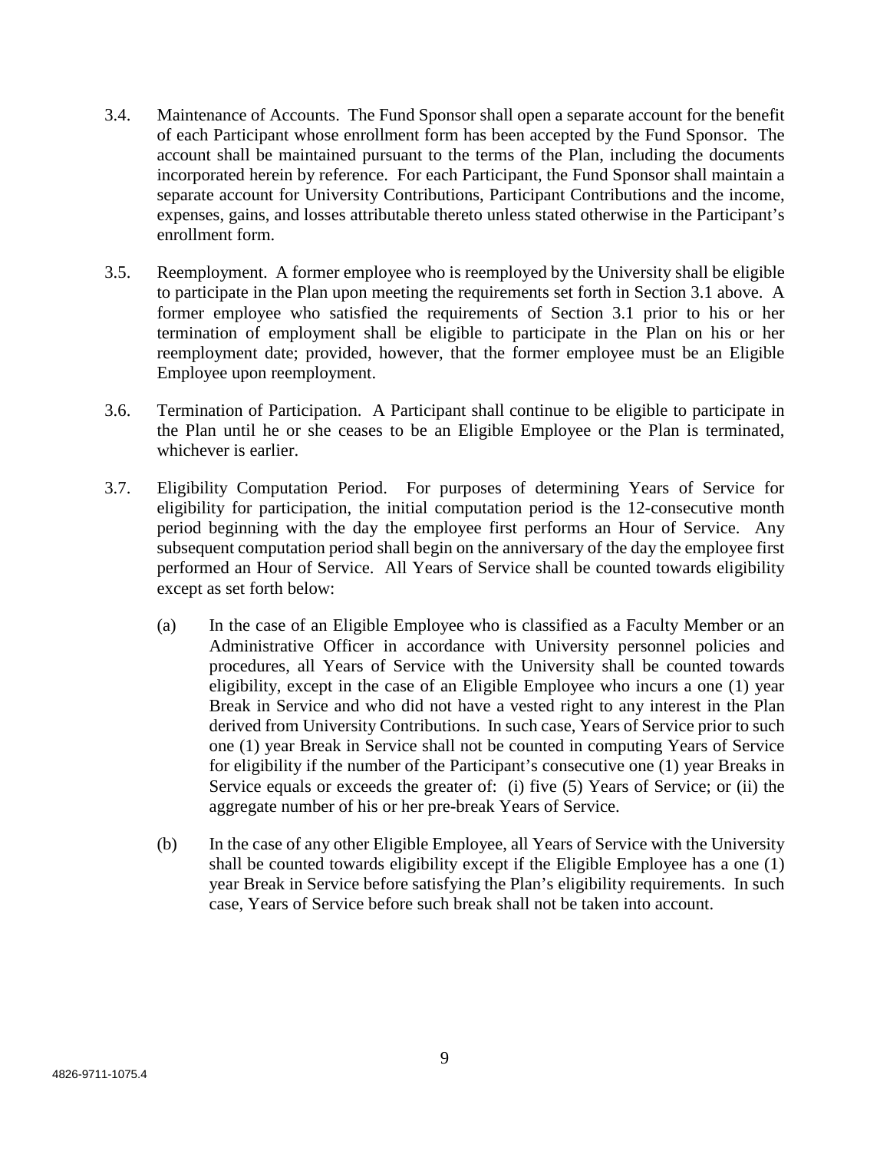- 3.4. Maintenance of Accounts. The Fund Sponsor shall open a separate account for the benefit of each Participant whose enrollment form has been accepted by the Fund Sponsor. The account shall be maintained pursuant to the terms of the Plan, including the documents incorporated herein by reference. For each Participant, the Fund Sponsor shall maintain a separate account for University Contributions, Participant Contributions and the income, expenses, gains, and losses attributable thereto unless stated otherwise in the Participant's enrollment form.
- 3.5. Reemployment. A former employee who is reemployed by the University shall be eligible to participate in the Plan upon meeting the requirements set forth in Section 3.1 above. A former employee who satisfied the requirements of Section 3.1 prior to his or her termination of employment shall be eligible to participate in the Plan on his or her reemployment date; provided, however, that the former employee must be an Eligible Employee upon reemployment.
- 3.6. Termination of Participation. A Participant shall continue to be eligible to participate in the Plan until he or she ceases to be an Eligible Employee or the Plan is terminated, whichever is earlier.
- 3.7. Eligibility Computation Period. For purposes of determining Years of Service for eligibility for participation, the initial computation period is the 12-consecutive month period beginning with the day the employee first performs an Hour of Service. Any subsequent computation period shall begin on the anniversary of the day the employee first performed an Hour of Service. All Years of Service shall be counted towards eligibility except as set forth below:
	- (a) In the case of an Eligible Employee who is classified as a Faculty Member or an Administrative Officer in accordance with University personnel policies and procedures, all Years of Service with the University shall be counted towards eligibility, except in the case of an Eligible Employee who incurs a one (1) year Break in Service and who did not have a vested right to any interest in the Plan derived from University Contributions. In such case, Years of Service prior to such one (1) year Break in Service shall not be counted in computing Years of Service for eligibility if the number of the Participant's consecutive one (1) year Breaks in Service equals or exceeds the greater of: (i) five (5) Years of Service; or (ii) the aggregate number of his or her pre-break Years of Service.
	- (b) In the case of any other Eligible Employee, all Years of Service with the University shall be counted towards eligibility except if the Eligible Employee has a one (1) year Break in Service before satisfying the Plan's eligibility requirements. In such case, Years of Service before such break shall not be taken into account.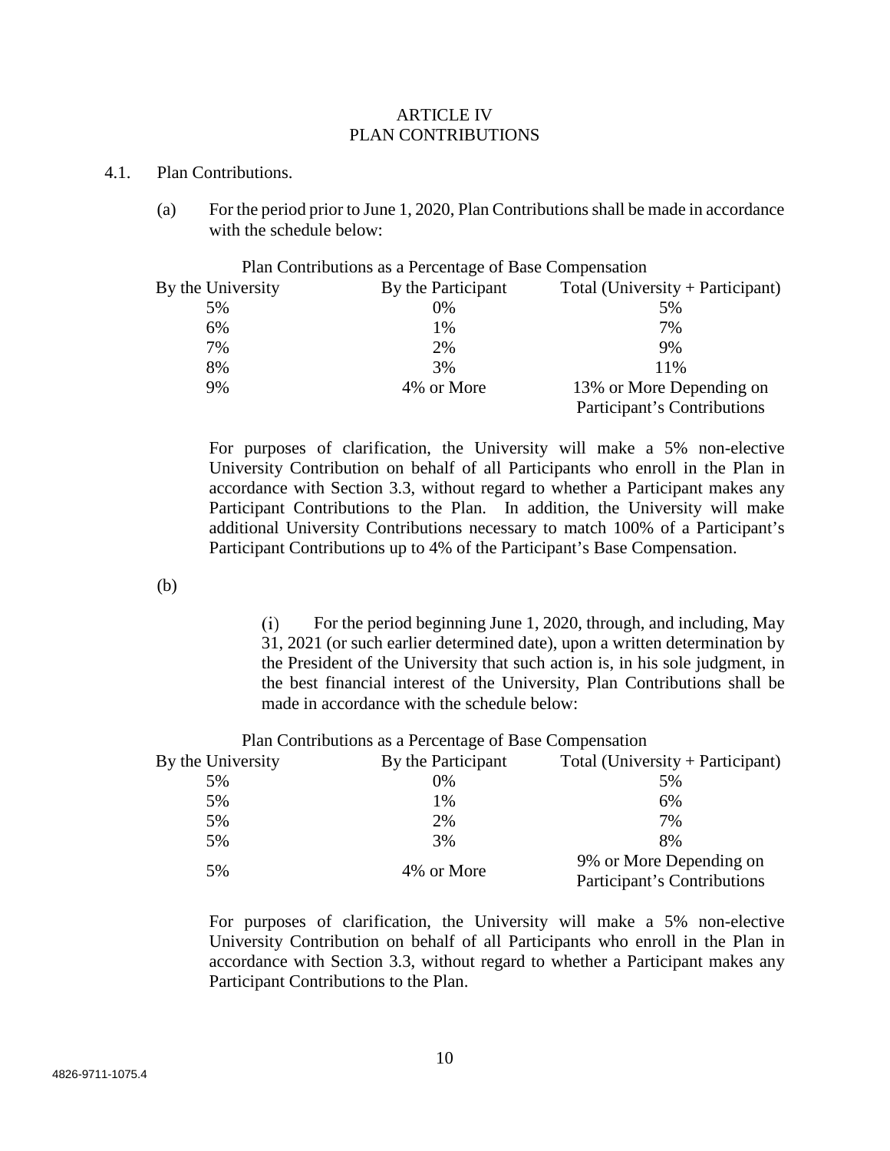#### ARTICLE IV PLAN CONTRIBUTIONS

#### 4.1. Plan Contributions.

(a) For the period prior to June 1, 2020, Plan Contributions shall be made in accordance with the schedule below:

|                   | Plan Contributions as a Percentage of Base Compensation |                                  |
|-------------------|---------------------------------------------------------|----------------------------------|
| By the University | By the Participant                                      | Total (University + Participant) |
| 5%                | $0\%$                                                   | 5%                               |
| 6%                | 1%                                                      | 7%                               |
| 7%                | 2%                                                      | 9%                               |
| 8%                | 3%                                                      | 11%                              |
| 9%                | 4\% or More                                             | 13% or More Depending on         |
|                   |                                                         | Participant's Contributions      |

For purposes of clarification, the University will make a 5% non-elective University Contribution on behalf of all Participants who enroll in the Plan in accordance with Section 3.3, without regard to whether a Participant makes any Participant Contributions to the Plan. In addition, the University will make additional University Contributions necessary to match 100% of a Participant's Participant Contributions up to 4% of the Participant's Base Compensation.

(b)

For the period beginning June 1, 2020, through, and including, May  $(i)$ 31, 2021 (or such earlier determined date), upon a written determination by the President of the University that such action is, in his sole judgment, in the best financial interest of the University, Plan Contributions shall be made in accordance with the schedule below:

|                   | Plan Contributions as a Percentage of Base Compensation |                                  |
|-------------------|---------------------------------------------------------|----------------------------------|
| By the University | By the Participant                                      | Total (University + Participant) |
| 5%                | $0\%$                                                   | 5%                               |
| 5%                | 1%                                                      | 6%                               |
| 5%                | 2%                                                      | 7%                               |
| 5%                | 3%                                                      | 8%                               |
| 5%                | 4\% or More                                             | 9% or More Depending on          |
|                   |                                                         | Participant's Contributions      |

For purposes of clarification, the University will make a 5% non-elective University Contribution on behalf of all Participants who enroll in the Plan in accordance with Section 3.3, without regard to whether a Participant makes any Participant Contributions to the Plan.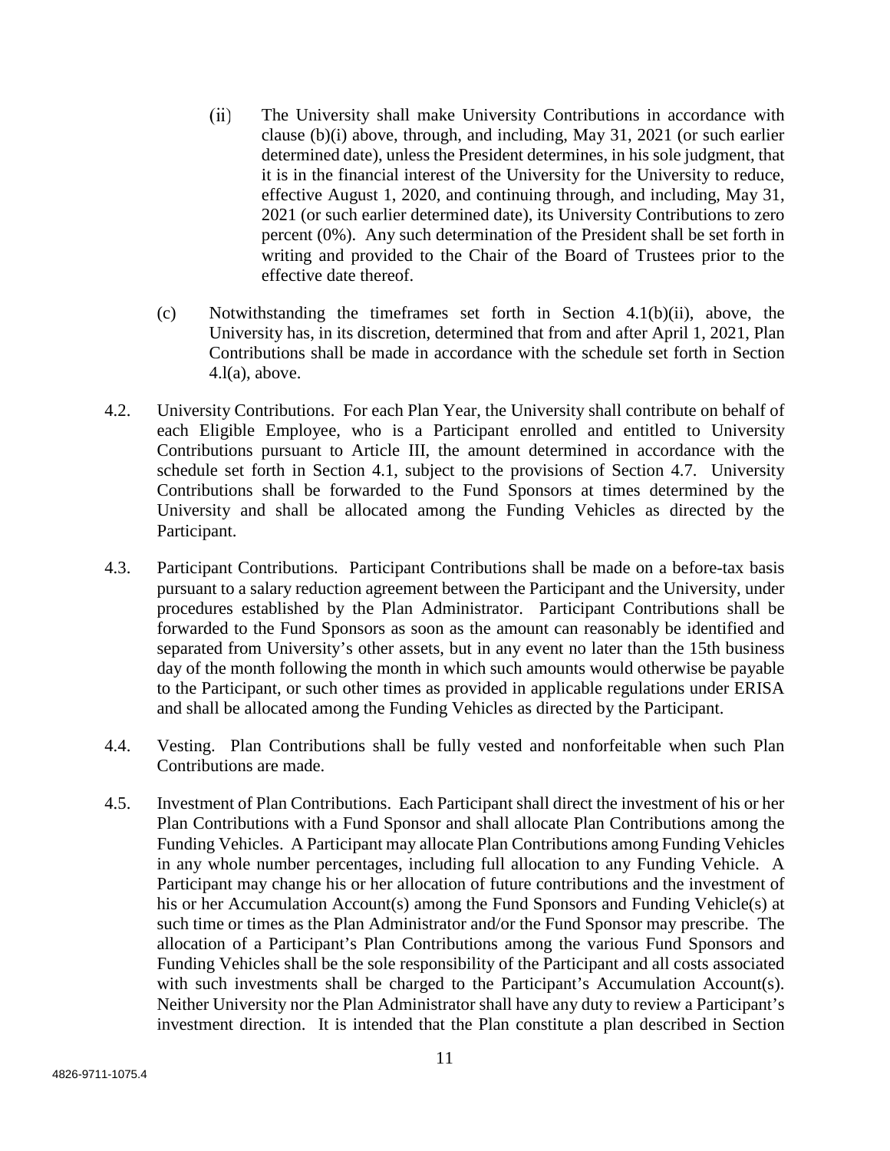- $(ii)$ The University shall make University Contributions in accordance with clause (b)(i) above, through, and including, May 31, 2021 (or such earlier determined date), unless the President determines, in his sole judgment, that it is in the financial interest of the University for the University to reduce, effective August 1, 2020, and continuing through, and including, May 31, 2021 (or such earlier determined date), its University Contributions to zero percent (0%). Any such determination of the President shall be set forth in writing and provided to the Chair of the Board of Trustees prior to the effective date thereof.
- (c) Notwithstanding the timeframes set forth in Section 4.1(b)(ii), above, the University has, in its discretion, determined that from and after April 1, 2021, Plan Contributions shall be made in accordance with the schedule set forth in Section  $4.l(a)$ , above.
- 4.2. University Contributions. For each Plan Year, the University shall contribute on behalf of each Eligible Employee, who is a Participant enrolled and entitled to University Contributions pursuant to Article III, the amount determined in accordance with the schedule set forth in Section 4.1, subject to the provisions of Section 4.7. University Contributions shall be forwarded to the Fund Sponsors at times determined by the University and shall be allocated among the Funding Vehicles as directed by the Participant.
- 4.3. Participant Contributions. Participant Contributions shall be made on a before-tax basis pursuant to a salary reduction agreement between the Participant and the University, under procedures established by the Plan Administrator. Participant Contributions shall be forwarded to the Fund Sponsors as soon as the amount can reasonably be identified and separated from University's other assets, but in any event no later than the 15th business day of the month following the month in which such amounts would otherwise be payable to the Participant, or such other times as provided in applicable regulations under ERISA and shall be allocated among the Funding Vehicles as directed by the Participant.
- 4.4. Vesting. Plan Contributions shall be fully vested and nonforfeitable when such Plan Contributions are made.
- 4.5. Investment of Plan Contributions. Each Participant shall direct the investment of his or her Plan Contributions with a Fund Sponsor and shall allocate Plan Contributions among the Funding Vehicles. A Participant may allocate Plan Contributions among Funding Vehicles in any whole number percentages, including full allocation to any Funding Vehicle. A Participant may change his or her allocation of future contributions and the investment of his or her Accumulation Account(s) among the Fund Sponsors and Funding Vehicle(s) at such time or times as the Plan Administrator and/or the Fund Sponsor may prescribe. The allocation of a Participant's Plan Contributions among the various Fund Sponsors and Funding Vehicles shall be the sole responsibility of the Participant and all costs associated with such investments shall be charged to the Participant's Accumulation Account(s). Neither University nor the Plan Administrator shall have any duty to review a Participant's investment direction. It is intended that the Plan constitute a plan described in Section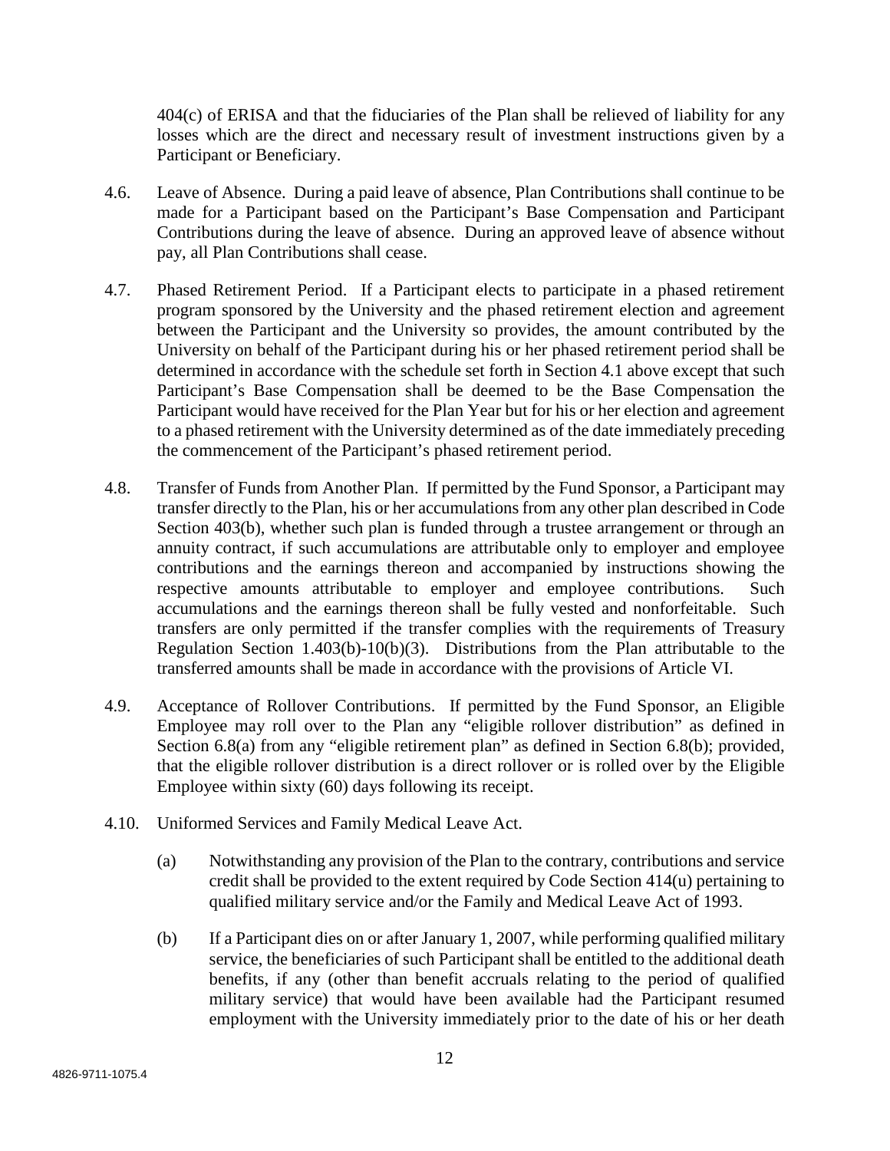404(c) of ERISA and that the fiduciaries of the Plan shall be relieved of liability for any losses which are the direct and necessary result of investment instructions given by a Participant or Beneficiary.

- 4.6. Leave of Absence. During a paid leave of absence, Plan Contributions shall continue to be made for a Participant based on the Participant's Base Compensation and Participant Contributions during the leave of absence. During an approved leave of absence without pay, all Plan Contributions shall cease.
- 4.7. Phased Retirement Period. If a Participant elects to participate in a phased retirement program sponsored by the University and the phased retirement election and agreement between the Participant and the University so provides, the amount contributed by the University on behalf of the Participant during his or her phased retirement period shall be determined in accordance with the schedule set forth in Section 4.1 above except that such Participant's Base Compensation shall be deemed to be the Base Compensation the Participant would have received for the Plan Year but for his or her election and agreement to a phased retirement with the University determined as of the date immediately preceding the commencement of the Participant's phased retirement period.
- 4.8. Transfer of Funds from Another Plan. If permitted by the Fund Sponsor, a Participant may transfer directly to the Plan, his or her accumulations from any other plan described in Code Section 403(b), whether such plan is funded through a trustee arrangement or through an annuity contract, if such accumulations are attributable only to employer and employee contributions and the earnings thereon and accompanied by instructions showing the respective amounts attributable to employer and employee contributions. Such accumulations and the earnings thereon shall be fully vested and nonforfeitable. Such transfers are only permitted if the transfer complies with the requirements of Treasury Regulation Section 1.403(b)-10(b)(3). Distributions from the Plan attributable to the transferred amounts shall be made in accordance with the provisions of Article VI.
- 4.9. Acceptance of Rollover Contributions. If permitted by the Fund Sponsor, an Eligible Employee may roll over to the Plan any "eligible rollover distribution" as defined in Section 6.8(a) from any "eligible retirement plan" as defined in Section 6.8(b); provided, that the eligible rollover distribution is a direct rollover or is rolled over by the Eligible Employee within sixty (60) days following its receipt.
- 4.10. Uniformed Services and Family Medical Leave Act.
	- (a) Notwithstanding any provision of the Plan to the contrary, contributions and service credit shall be provided to the extent required by Code Section 414(u) pertaining to qualified military service and/or the Family and Medical Leave Act of 1993.
	- (b) If a Participant dies on or after January 1, 2007, while performing qualified military service, the beneficiaries of such Participant shall be entitled to the additional death benefits, if any (other than benefit accruals relating to the period of qualified military service) that would have been available had the Participant resumed employment with the University immediately prior to the date of his or her death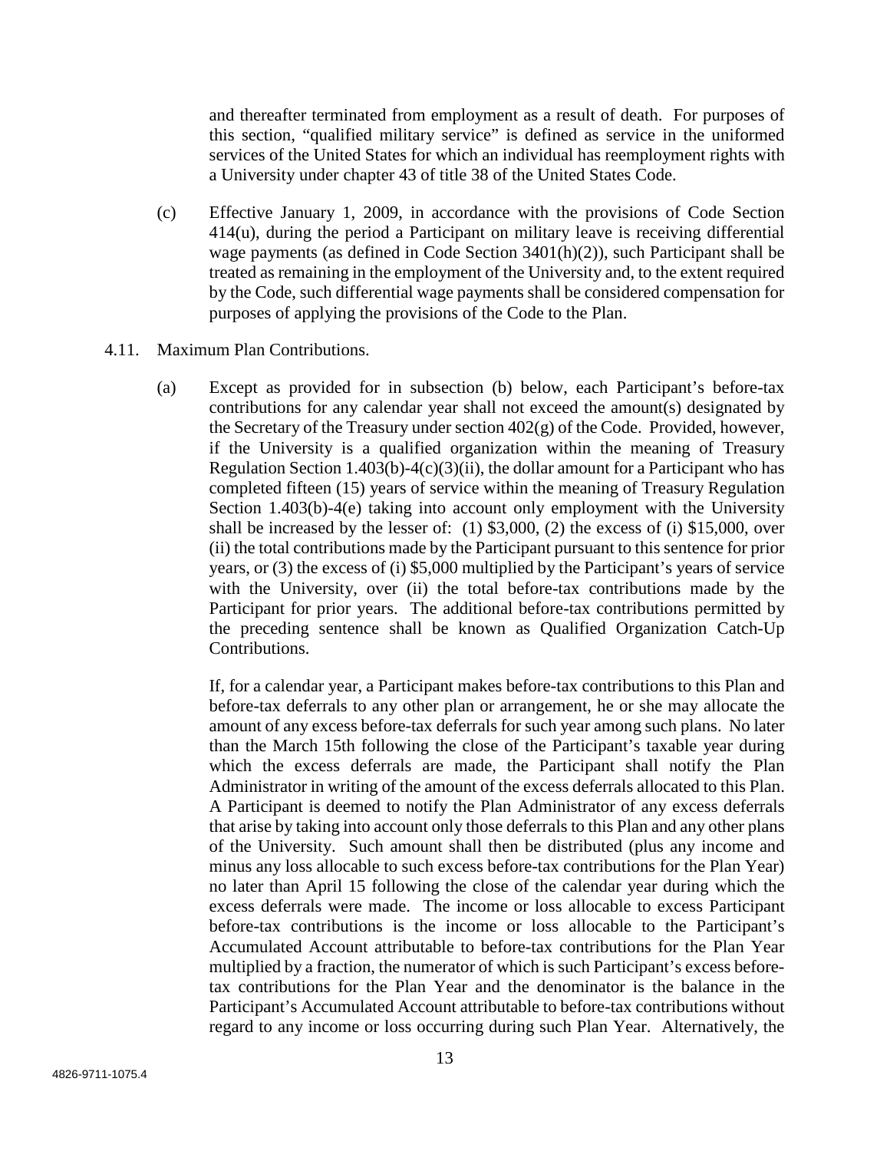and thereafter terminated from employment as a result of death. For purposes of this section, "qualified military service" is defined as service in the uniformed services of the United States for which an individual has reemployment rights with a University under chapter 43 of title 38 of the United States Code.

- (c) Effective January 1, 2009, in accordance with the provisions of Code Section 414(u), during the period a Participant on military leave is receiving differential wage payments (as defined in Code Section 3401(h)(2)), such Participant shall be treated as remaining in the employment of the University and, to the extent required by the Code, such differential wage payments shall be considered compensation for purposes of applying the provisions of the Code to the Plan.
- 4.11. Maximum Plan Contributions.
	- (a) Except as provided for in subsection (b) below, each Participant's before-tax contributions for any calendar year shall not exceed the amount(s) designated by the Secretary of the Treasury under section 402(g) of the Code. Provided, however, if the University is a qualified organization within the meaning of Treasury Regulation Section 1.403(b)-4(c)(3)(ii), the dollar amount for a Participant who has completed fifteen (15) years of service within the meaning of Treasury Regulation Section 1.403(b)-4(e) taking into account only employment with the University shall be increased by the lesser of: (1) \$3,000, (2) the excess of (i) \$15,000, over (ii) the total contributions made by the Participant pursuant to this sentence for prior years, or (3) the excess of (i) \$5,000 multiplied by the Participant's years of service with the University, over (ii) the total before-tax contributions made by the Participant for prior years. The additional before-tax contributions permitted by the preceding sentence shall be known as Qualified Organization Catch-Up Contributions.

If, for a calendar year, a Participant makes before-tax contributions to this Plan and before-tax deferrals to any other plan or arrangement, he or she may allocate the amount of any excess before-tax deferrals for such year among such plans. No later than the March 15th following the close of the Participant's taxable year during which the excess deferrals are made, the Participant shall notify the Plan Administrator in writing of the amount of the excess deferrals allocated to this Plan. A Participant is deemed to notify the Plan Administrator of any excess deferrals that arise by taking into account only those deferrals to this Plan and any other plans of the University. Such amount shall then be distributed (plus any income and minus any loss allocable to such excess before-tax contributions for the Plan Year) no later than April 15 following the close of the calendar year during which the excess deferrals were made. The income or loss allocable to excess Participant before-tax contributions is the income or loss allocable to the Participant's Accumulated Account attributable to before-tax contributions for the Plan Year multiplied by a fraction, the numerator of which is such Participant's excess beforetax contributions for the Plan Year and the denominator is the balance in the Participant's Accumulated Account attributable to before-tax contributions without regard to any income or loss occurring during such Plan Year. Alternatively, the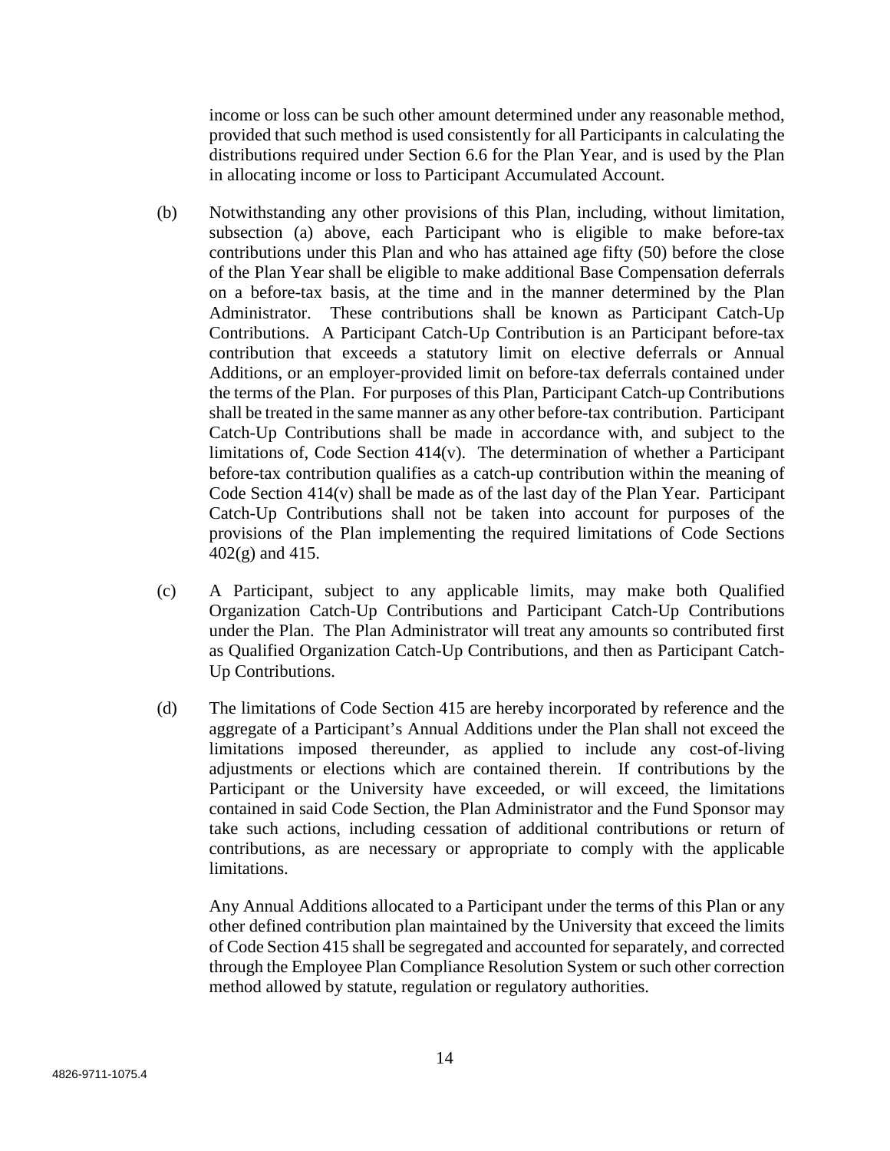income or loss can be such other amount determined under any reasonable method, provided that such method is used consistently for all Participants in calculating the distributions required under Section 6.6 for the Plan Year, and is used by the Plan in allocating income or loss to Participant Accumulated Account.

- (b) Notwithstanding any other provisions of this Plan, including, without limitation, subsection (a) above, each Participant who is eligible to make before-tax contributions under this Plan and who has attained age fifty (50) before the close of the Plan Year shall be eligible to make additional Base Compensation deferrals on a before-tax basis, at the time and in the manner determined by the Plan Administrator. These contributions shall be known as Participant Catch-Up Contributions. A Participant Catch-Up Contribution is an Participant before-tax contribution that exceeds a statutory limit on elective deferrals or Annual Additions, or an employer-provided limit on before-tax deferrals contained under the terms of the Plan. For purposes of this Plan, Participant Catch-up Contributions shall be treated in the same manner as any other before-tax contribution. Participant Catch-Up Contributions shall be made in accordance with, and subject to the limitations of, Code Section 414(v). The determination of whether a Participant before-tax contribution qualifies as a catch-up contribution within the meaning of Code Section 414(v) shall be made as of the last day of the Plan Year. Participant Catch-Up Contributions shall not be taken into account for purposes of the provisions of the Plan implementing the required limitations of Code Sections 402(g) and 415.
- (c) A Participant, subject to any applicable limits, may make both Qualified Organization Catch-Up Contributions and Participant Catch-Up Contributions under the Plan. The Plan Administrator will treat any amounts so contributed first as Qualified Organization Catch-Up Contributions, and then as Participant Catch-Up Contributions.
- (d) The limitations of Code Section 415 are hereby incorporated by reference and the aggregate of a Participant's Annual Additions under the Plan shall not exceed the limitations imposed thereunder, as applied to include any cost-of-living adjustments or elections which are contained therein. If contributions by the Participant or the University have exceeded, or will exceed, the limitations contained in said Code Section, the Plan Administrator and the Fund Sponsor may take such actions, including cessation of additional contributions or return of contributions, as are necessary or appropriate to comply with the applicable limitations.

Any Annual Additions allocated to a Participant under the terms of this Plan or any other defined contribution plan maintained by the University that exceed the limits of Code Section 415 shall be segregated and accounted for separately, and corrected through the Employee Plan Compliance Resolution System or such other correction method allowed by statute, regulation or regulatory authorities.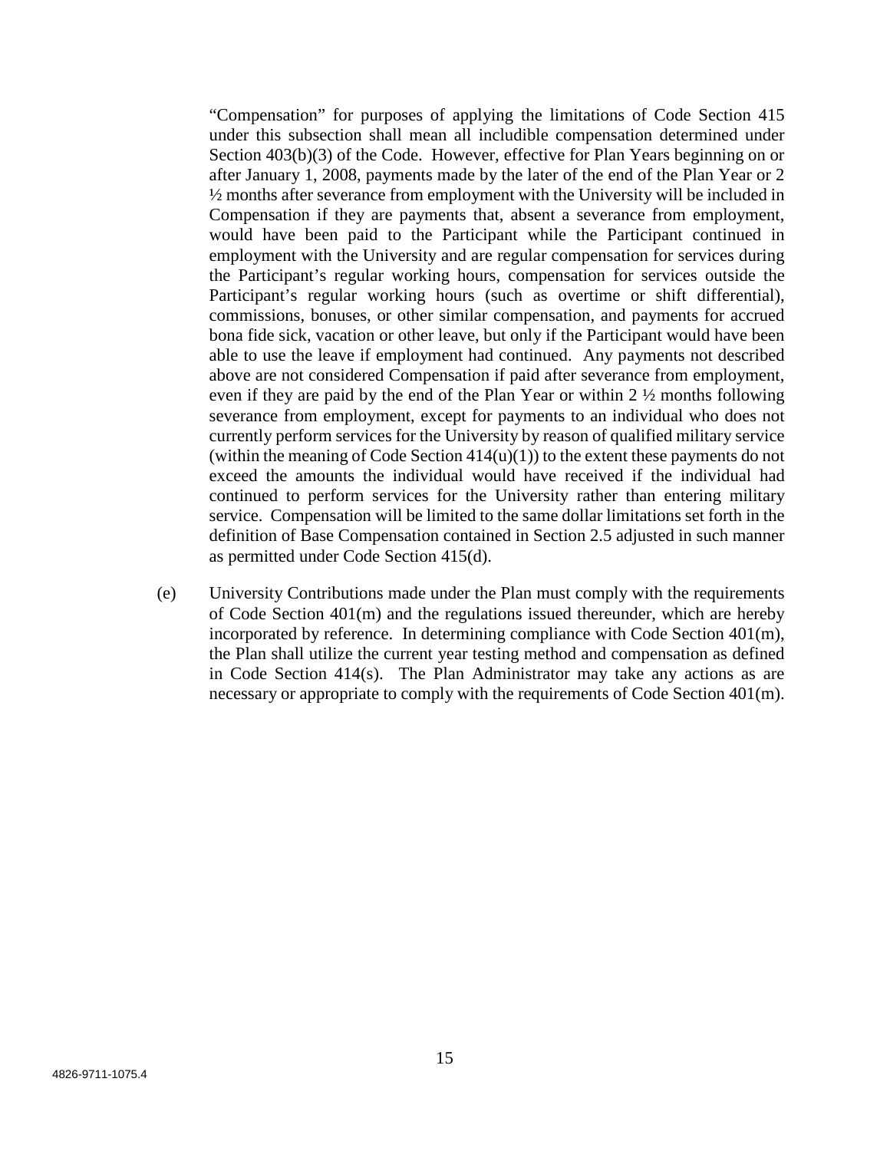"Compensation" for purposes of applying the limitations of Code Section 415 under this subsection shall mean all includible compensation determined under Section 403(b)(3) of the Code. However, effective for Plan Years beginning on or after January 1, 2008, payments made by the later of the end of the Plan Year or 2 ½ months after severance from employment with the University will be included in Compensation if they are payments that, absent a severance from employment, would have been paid to the Participant while the Participant continued in employment with the University and are regular compensation for services during the Participant's regular working hours, compensation for services outside the Participant's regular working hours (such as overtime or shift differential), commissions, bonuses, or other similar compensation, and payments for accrued bona fide sick, vacation or other leave, but only if the Participant would have been able to use the leave if employment had continued. Any payments not described above are not considered Compensation if paid after severance from employment, even if they are paid by the end of the Plan Year or within 2 ½ months following severance from employment, except for payments to an individual who does not currently perform services for the University by reason of qualified military service (within the meaning of Code Section  $414(u)(1)$ ) to the extent these payments do not exceed the amounts the individual would have received if the individual had continued to perform services for the University rather than entering military service. Compensation will be limited to the same dollar limitations set forth in the definition of Base Compensation contained in Section 2.5 adjusted in such manner as permitted under Code Section 415(d).

(e) University Contributions made under the Plan must comply with the requirements of Code Section 401(m) and the regulations issued thereunder, which are hereby incorporated by reference. In determining compliance with Code Section 401(m), the Plan shall utilize the current year testing method and compensation as defined in Code Section 414(s). The Plan Administrator may take any actions as are necessary or appropriate to comply with the requirements of Code Section 401(m).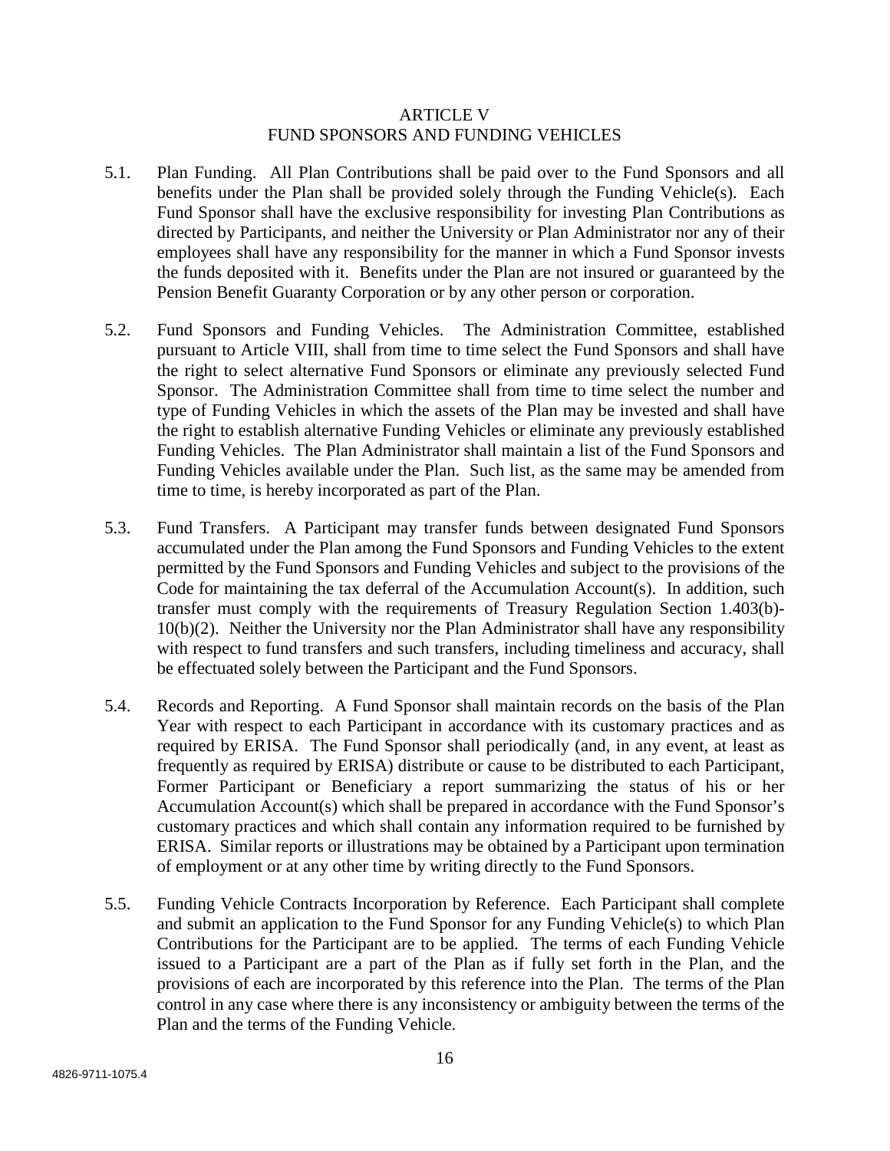### ARTICLE V FUND SPONSORS AND FUNDING VEHICLES

- 5.1. Plan Funding. All Plan Contributions shall be paid over to the Fund Sponsors and all benefits under the Plan shall be provided solely through the Funding Vehicle(s). Each Fund Sponsor shall have the exclusive responsibility for investing Plan Contributions as directed by Participants, and neither the University or Plan Administrator nor any of their employees shall have any responsibility for the manner in which a Fund Sponsor invests the funds deposited with it. Benefits under the Plan are not insured or guaranteed by the Pension Benefit Guaranty Corporation or by any other person or corporation.
- 5.2. Fund Sponsors and Funding Vehicles. The Administration Committee, established pursuant to Article VIII, shall from time to time select the Fund Sponsors and shall have the right to select alternative Fund Sponsors or eliminate any previously selected Fund Sponsor. The Administration Committee shall from time to time select the number and type of Funding Vehicles in which the assets of the Plan may be invested and shall have the right to establish alternative Funding Vehicles or eliminate any previously established Funding Vehicles. The Plan Administrator shall maintain a list of the Fund Sponsors and Funding Vehicles available under the Plan. Such list, as the same may be amended from time to time, is hereby incorporated as part of the Plan.
- 5.3. Fund Transfers. A Participant may transfer funds between designated Fund Sponsors accumulated under the Plan among the Fund Sponsors and Funding Vehicles to the extent permitted by the Fund Sponsors and Funding Vehicles and subject to the provisions of the Code for maintaining the tax deferral of the Accumulation Account(s). In addition, such transfer must comply with the requirements of Treasury Regulation Section 1.403(b)- 10(b)(2). Neither the University nor the Plan Administrator shall have any responsibility with respect to fund transfers and such transfers, including timeliness and accuracy, shall be effectuated solely between the Participant and the Fund Sponsors.
- 5.4. Records and Reporting. A Fund Sponsor shall maintain records on the basis of the Plan Year with respect to each Participant in accordance with its customary practices and as required by ERISA. The Fund Sponsor shall periodically (and, in any event, at least as frequently as required by ERISA) distribute or cause to be distributed to each Participant, Former Participant or Beneficiary a report summarizing the status of his or her Accumulation Account(s) which shall be prepared in accordance with the Fund Sponsor's customary practices and which shall contain any information required to be furnished by ERISA. Similar reports or illustrations may be obtained by a Participant upon termination of employment or at any other time by writing directly to the Fund Sponsors.
- 5.5. Funding Vehicle Contracts Incorporation by Reference. Each Participant shall complete and submit an application to the Fund Sponsor for any Funding Vehicle(s) to which Plan Contributions for the Participant are to be applied. The terms of each Funding Vehicle issued to a Participant are a part of the Plan as if fully set forth in the Plan, and the provisions of each are incorporated by this reference into the Plan. The terms of the Plan control in any case where there is any inconsistency or ambiguity between the terms of the Plan and the terms of the Funding Vehicle.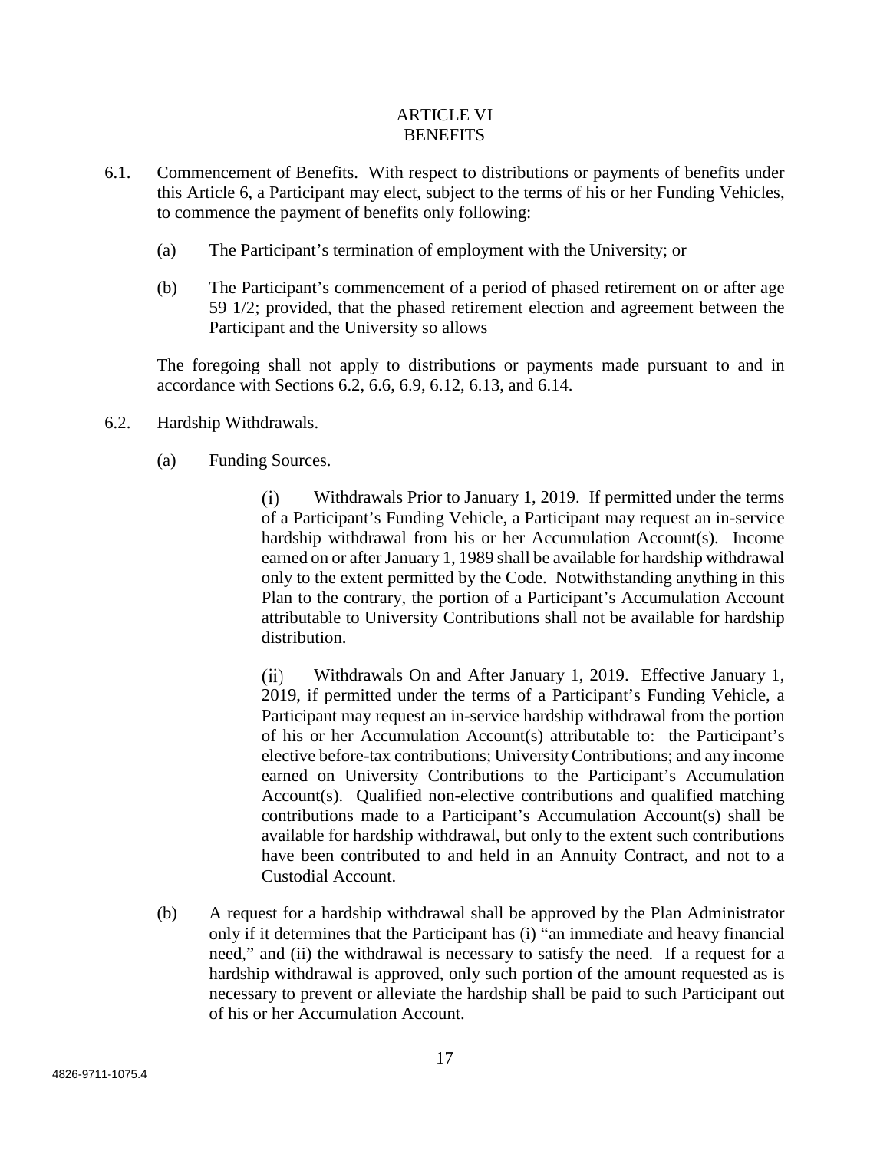# ARTICLE VI **BENEFITS**

- 6.1. Commencement of Benefits. With respect to distributions or payments of benefits under this Article 6, a Participant may elect, subject to the terms of his or her Funding Vehicles, to commence the payment of benefits only following:
	- (a) The Participant's termination of employment with the University; or
	- (b) The Participant's commencement of a period of phased retirement on or after age 59 1/2; provided, that the phased retirement election and agreement between the Participant and the University so allows

The foregoing shall not apply to distributions or payments made pursuant to and in accordance with Sections 6.2, 6.6, 6.9, 6.12, 6.13, and 6.14.

- 6.2. Hardship Withdrawals.
	- (a) Funding Sources.

Withdrawals Prior to January 1, 2019. If permitted under the terms  $(i)$ of a Participant's Funding Vehicle, a Participant may request an in-service hardship withdrawal from his or her Accumulation Account(s). Income earned on or after January 1, 1989 shall be available for hardship withdrawal only to the extent permitted by the Code. Notwithstanding anything in this Plan to the contrary, the portion of a Participant's Accumulation Account attributable to University Contributions shall not be available for hardship distribution.

Withdrawals On and After January 1, 2019. Effective January 1, (ii) 2019, if permitted under the terms of a Participant's Funding Vehicle, a Participant may request an in-service hardship withdrawal from the portion of his or her Accumulation Account(s) attributable to: the Participant's elective before-tax contributions; University Contributions; and any income earned on University Contributions to the Participant's Accumulation Account(s). Qualified non-elective contributions and qualified matching contributions made to a Participant's Accumulation Account(s) shall be available for hardship withdrawal, but only to the extent such contributions have been contributed to and held in an Annuity Contract, and not to a Custodial Account.

(b) A request for a hardship withdrawal shall be approved by the Plan Administrator only if it determines that the Participant has (i) "an immediate and heavy financial need," and (ii) the withdrawal is necessary to satisfy the need. If a request for a hardship withdrawal is approved, only such portion of the amount requested as is necessary to prevent or alleviate the hardship shall be paid to such Participant out of his or her Accumulation Account.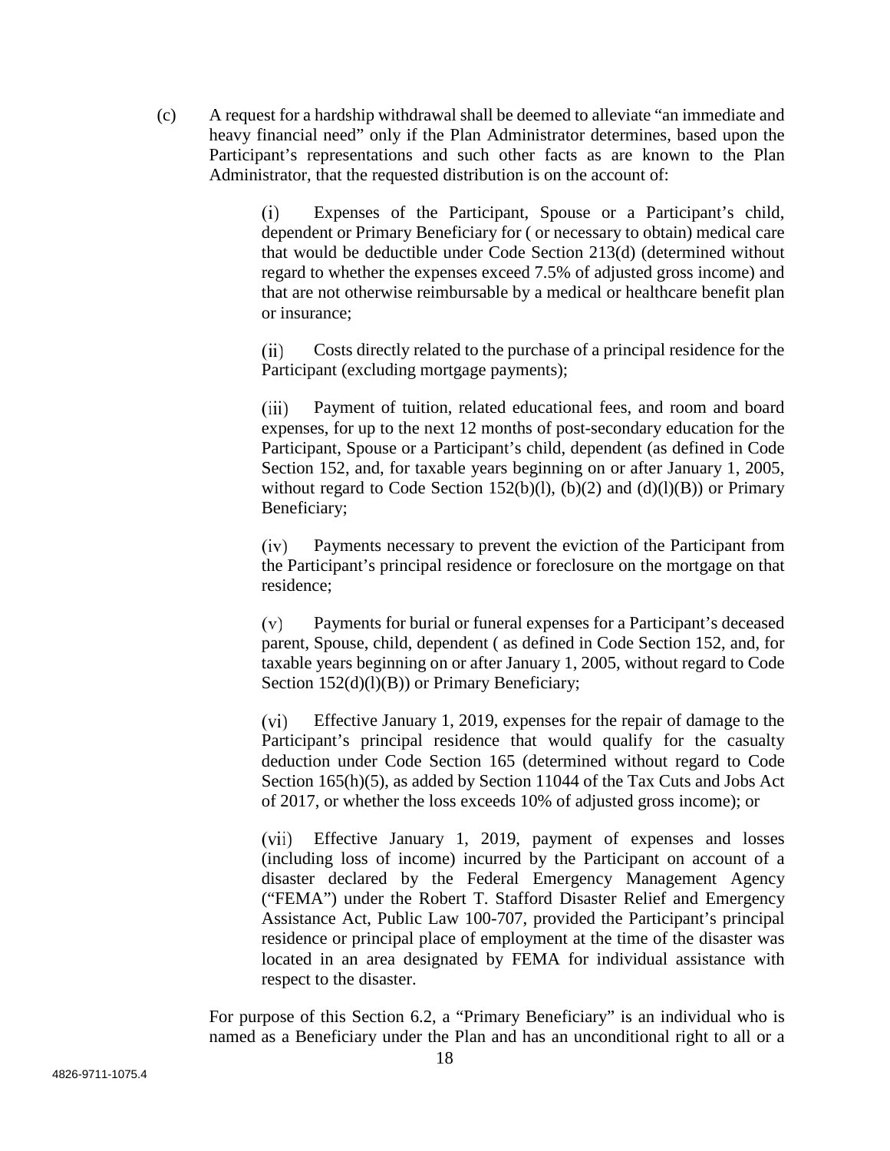(c) A request for a hardship withdrawal shall be deemed to alleviate "an immediate and heavy financial need" only if the Plan Administrator determines, based upon the Participant's representations and such other facts as are known to the Plan Administrator, that the requested distribution is on the account of:

> Expenses of the Participant, Spouse or a Participant's child,  $(i)$ dependent or Primary Beneficiary for ( or necessary to obtain) medical care that would be deductible under Code Section 213(d) (determined without regard to whether the expenses exceed 7.5% of adjusted gross income) and that are not otherwise reimbursable by a medical or healthcare benefit plan or insurance;

> $(ii)$ Costs directly related to the purchase of a principal residence for the Participant (excluding mortgage payments);

> $(iii)$ Payment of tuition, related educational fees, and room and board expenses, for up to the next 12 months of post-secondary education for the Participant, Spouse or a Participant's child, dependent (as defined in Code Section 152, and, for taxable years beginning on or after January 1, 2005, without regard to Code Section 152(b)(l), (b)(2) and (d)(l)(B)) or Primary Beneficiary;

> $(iv)$ Payments necessary to prevent the eviction of the Participant from the Participant's principal residence or foreclosure on the mortgage on that residence;

> $(v)$ Payments for burial or funeral expenses for a Participant's deceased parent, Spouse, child, dependent ( as defined in Code Section 152, and, for taxable years beginning on or after January 1, 2005, without regard to Code Section 152(d)(l)(B)) or Primary Beneficiary;

> Effective January 1, 2019, expenses for the repair of damage to the  $(vi)$ Participant's principal residence that would qualify for the casualty deduction under Code Section 165 (determined without regard to Code Section 165(h)(5), as added by Section 11044 of the Tax Cuts and Jobs Act of 2017, or whether the loss exceeds 10% of adjusted gross income); or

> Effective January 1, 2019, payment of expenses and losses  $(vii)$ (including loss of income) incurred by the Participant on account of a disaster declared by the Federal Emergency Management Agency ("FEMA") under the Robert T. Stafford Disaster Relief and Emergency Assistance Act, Public Law 100-707, provided the Participant's principal residence or principal place of employment at the time of the disaster was located in an area designated by FEMA for individual assistance with respect to the disaster.

For purpose of this Section 6.2, a "Primary Beneficiary" is an individual who is named as a Beneficiary under the Plan and has an unconditional right to all or a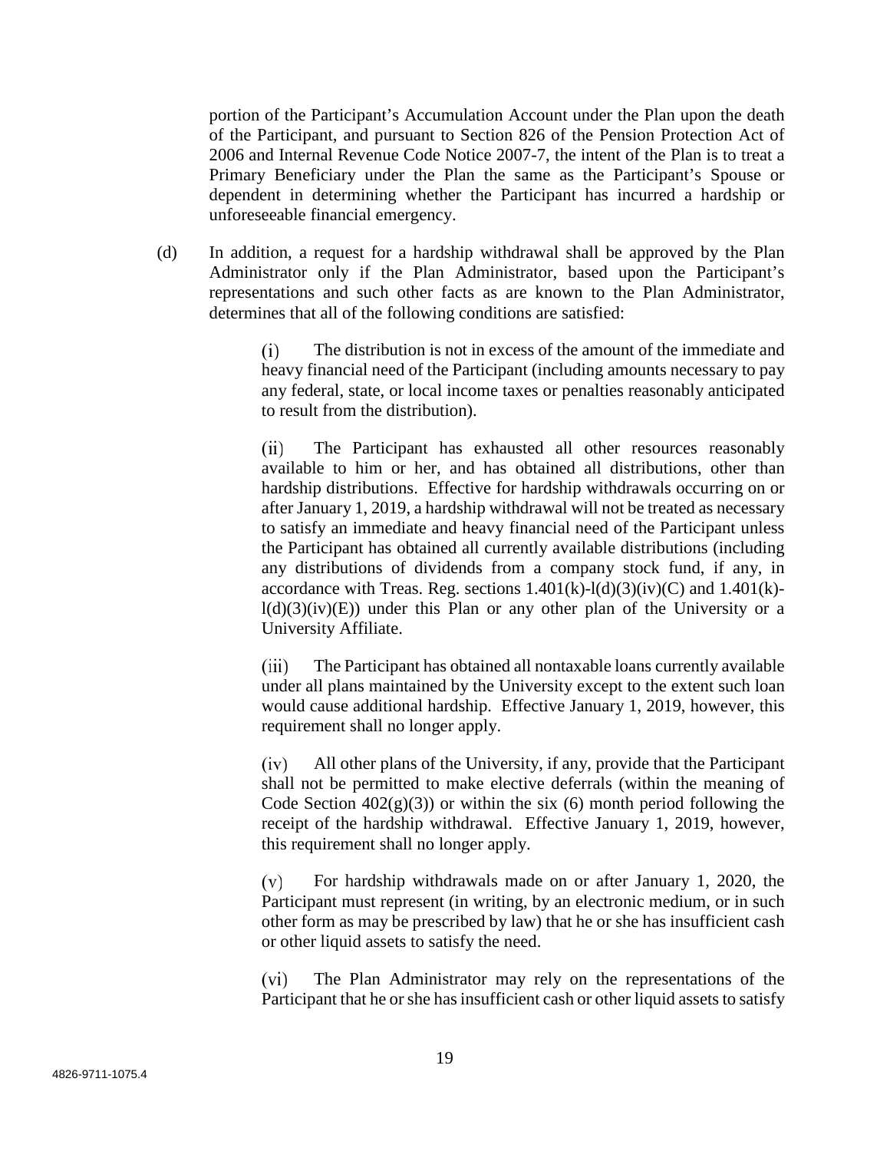portion of the Participant's Accumulation Account under the Plan upon the death of the Participant, and pursuant to Section 826 of the Pension Protection Act of 2006 and Internal Revenue Code Notice 2007-7, the intent of the Plan is to treat a Primary Beneficiary under the Plan the same as the Participant's Spouse or dependent in determining whether the Participant has incurred a hardship or unforeseeable financial emergency.

(d) In addition, a request for a hardship withdrawal shall be approved by the Plan Administrator only if the Plan Administrator, based upon the Participant's representations and such other facts as are known to the Plan Administrator, determines that all of the following conditions are satisfied:

> $(i)$ The distribution is not in excess of the amount of the immediate and heavy financial need of the Participant (including amounts necessary to pay any federal, state, or local income taxes or penalties reasonably anticipated to result from the distribution).

> $(ii)$ The Participant has exhausted all other resources reasonably available to him or her, and has obtained all distributions, other than hardship distributions. Effective for hardship withdrawals occurring on or after January 1, 2019, a hardship withdrawal will not be treated as necessary to satisfy an immediate and heavy financial need of the Participant unless the Participant has obtained all currently available distributions (including any distributions of dividends from a company stock fund, if any, in accordance with Treas. Reg. sections  $1.401(k)-1(d)(3)(iv)(C)$  and  $1.401(k)$  $l(d)(3)(iv)(E)$  under this Plan or any other plan of the University or a University Affiliate.

> $(iii)$ The Participant has obtained all nontaxable loans currently available under all plans maintained by the University except to the extent such loan would cause additional hardship. Effective January 1, 2019, however, this requirement shall no longer apply.

> $(iv)$ All other plans of the University, if any, provide that the Participant shall not be permitted to make elective deferrals (within the meaning of Code Section  $402(g)(3)$  or within the six (6) month period following the receipt of the hardship withdrawal. Effective January 1, 2019, however, this requirement shall no longer apply.

> $(v)$ For hardship withdrawals made on or after January 1, 2020, the Participant must represent (in writing, by an electronic medium, or in such other form as may be prescribed by law) that he or she has insufficient cash or other liquid assets to satisfy the need.

> $(vi)$ The Plan Administrator may rely on the representations of the Participant that he or she has insufficient cash or other liquid assets to satisfy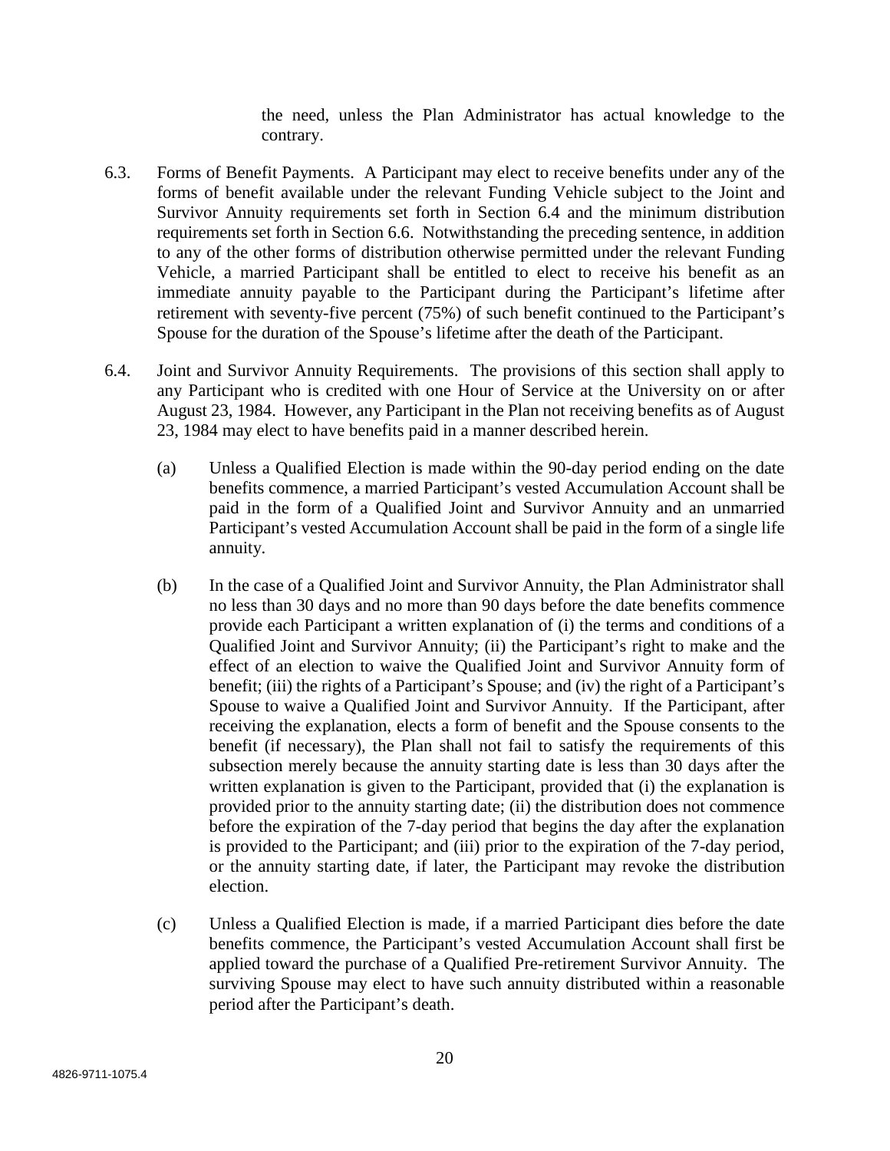the need, unless the Plan Administrator has actual knowledge to the contrary.

- 6.3. Forms of Benefit Payments. A Participant may elect to receive benefits under any of the forms of benefit available under the relevant Funding Vehicle subject to the Joint and Survivor Annuity requirements set forth in Section 6.4 and the minimum distribution requirements set forth in Section 6.6. Notwithstanding the preceding sentence, in addition to any of the other forms of distribution otherwise permitted under the relevant Funding Vehicle, a married Participant shall be entitled to elect to receive his benefit as an immediate annuity payable to the Participant during the Participant's lifetime after retirement with seventy-five percent (75%) of such benefit continued to the Participant's Spouse for the duration of the Spouse's lifetime after the death of the Participant.
- 6.4. Joint and Survivor Annuity Requirements. The provisions of this section shall apply to any Participant who is credited with one Hour of Service at the University on or after August 23, 1984. However, any Participant in the Plan not receiving benefits as of August 23, 1984 may elect to have benefits paid in a manner described herein.
	- (a) Unless a Qualified Election is made within the 90-day period ending on the date benefits commence, a married Participant's vested Accumulation Account shall be paid in the form of a Qualified Joint and Survivor Annuity and an unmarried Participant's vested Accumulation Account shall be paid in the form of a single life annuity.
	- (b) In the case of a Qualified Joint and Survivor Annuity, the Plan Administrator shall no less than 30 days and no more than 90 days before the date benefits commence provide each Participant a written explanation of (i) the terms and conditions of a Qualified Joint and Survivor Annuity; (ii) the Participant's right to make and the effect of an election to waive the Qualified Joint and Survivor Annuity form of benefit; (iii) the rights of a Participant's Spouse; and (iv) the right of a Participant's Spouse to waive a Qualified Joint and Survivor Annuity. If the Participant, after receiving the explanation, elects a form of benefit and the Spouse consents to the benefit (if necessary), the Plan shall not fail to satisfy the requirements of this subsection merely because the annuity starting date is less than 30 days after the written explanation is given to the Participant, provided that (i) the explanation is provided prior to the annuity starting date; (ii) the distribution does not commence before the expiration of the 7-day period that begins the day after the explanation is provided to the Participant; and (iii) prior to the expiration of the 7-day period, or the annuity starting date, if later, the Participant may revoke the distribution election.
	- (c) Unless a Qualified Election is made, if a married Participant dies before the date benefits commence, the Participant's vested Accumulation Account shall first be applied toward the purchase of a Qualified Pre-retirement Survivor Annuity. The surviving Spouse may elect to have such annuity distributed within a reasonable period after the Participant's death.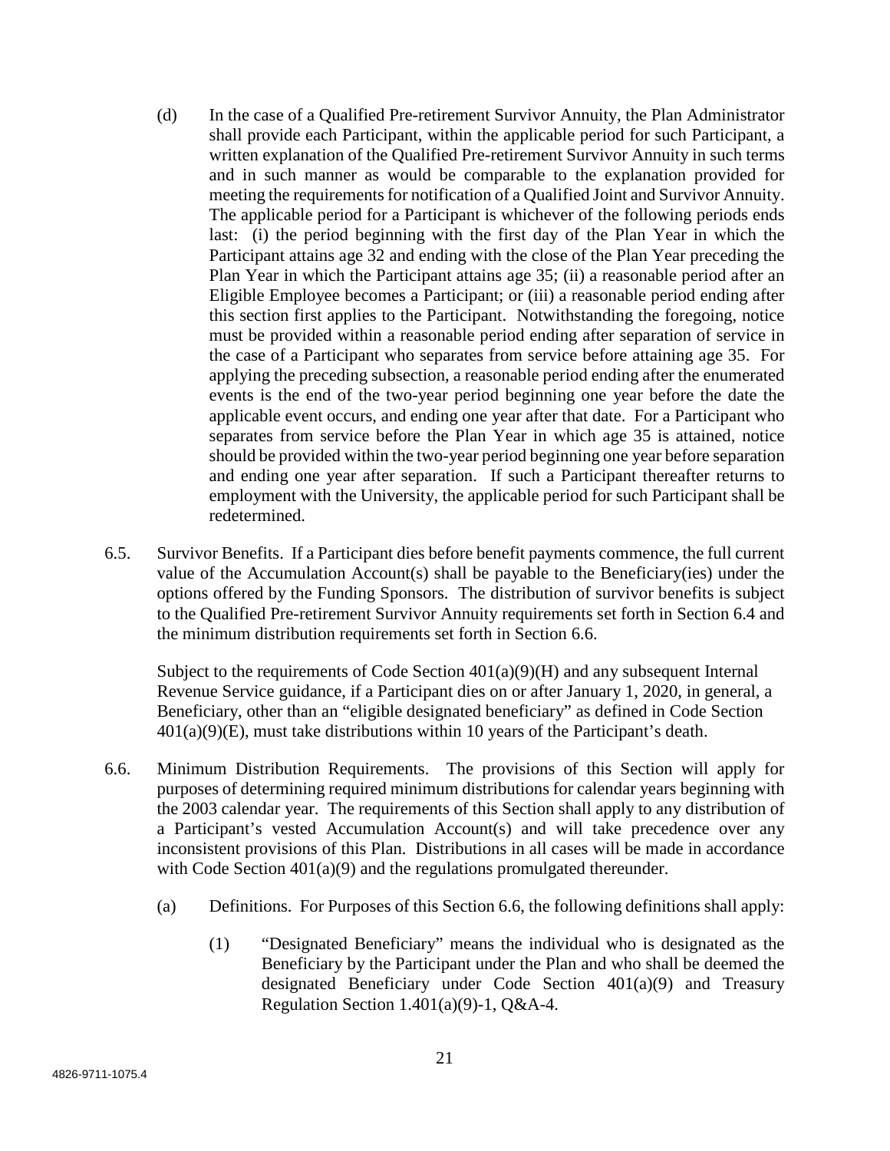- (d) In the case of a Qualified Pre-retirement Survivor Annuity, the Plan Administrator shall provide each Participant, within the applicable period for such Participant, a written explanation of the Qualified Pre-retirement Survivor Annuity in such terms and in such manner as would be comparable to the explanation provided for meeting the requirements for notification of a Qualified Joint and Survivor Annuity. The applicable period for a Participant is whichever of the following periods ends last: (i) the period beginning with the first day of the Plan Year in which the Participant attains age 32 and ending with the close of the Plan Year preceding the Plan Year in which the Participant attains age 35; (ii) a reasonable period after an Eligible Employee becomes a Participant; or (iii) a reasonable period ending after this section first applies to the Participant. Notwithstanding the foregoing, notice must be provided within a reasonable period ending after separation of service in the case of a Participant who separates from service before attaining age 35. For applying the preceding subsection, a reasonable period ending after the enumerated events is the end of the two-year period beginning one year before the date the applicable event occurs, and ending one year after that date. For a Participant who separates from service before the Plan Year in which age 35 is attained, notice should be provided within the two-year period beginning one year before separation and ending one year after separation. If such a Participant thereafter returns to employment with the University, the applicable period for such Participant shall be redetermined.
- 6.5. Survivor Benefits. If a Participant dies before benefit payments commence, the full current value of the Accumulation Account(s) shall be payable to the Beneficiary(ies) under the options offered by the Funding Sponsors. The distribution of survivor benefits is subject to the Qualified Pre-retirement Survivor Annuity requirements set forth in Section 6.4 and the minimum distribution requirements set forth in Section 6.6.

Subject to the requirements of Code Section 401(a)(9)(H) and any subsequent Internal Revenue Service guidance, if a Participant dies on or after January 1, 2020, in general, a Beneficiary, other than an "eligible designated beneficiary" as defined in Code Section  $401(a)(9)$ (E), must take distributions within 10 years of the Participant's death.

- 6.6. Minimum Distribution Requirements. The provisions of this Section will apply for purposes of determining required minimum distributions for calendar years beginning with the 2003 calendar year. The requirements of this Section shall apply to any distribution of a Participant's vested Accumulation Account(s) and will take precedence over any inconsistent provisions of this Plan. Distributions in all cases will be made in accordance with Code Section 401(a)(9) and the regulations promulgated thereunder.
	- (a) Definitions. For Purposes of this Section 6.6, the following definitions shall apply:
		- (1) "Designated Beneficiary" means the individual who is designated as the Beneficiary by the Participant under the Plan and who shall be deemed the designated Beneficiary under Code Section 401(a)(9) and Treasury Regulation Section 1.401(a)(9)-1, Q&A-4.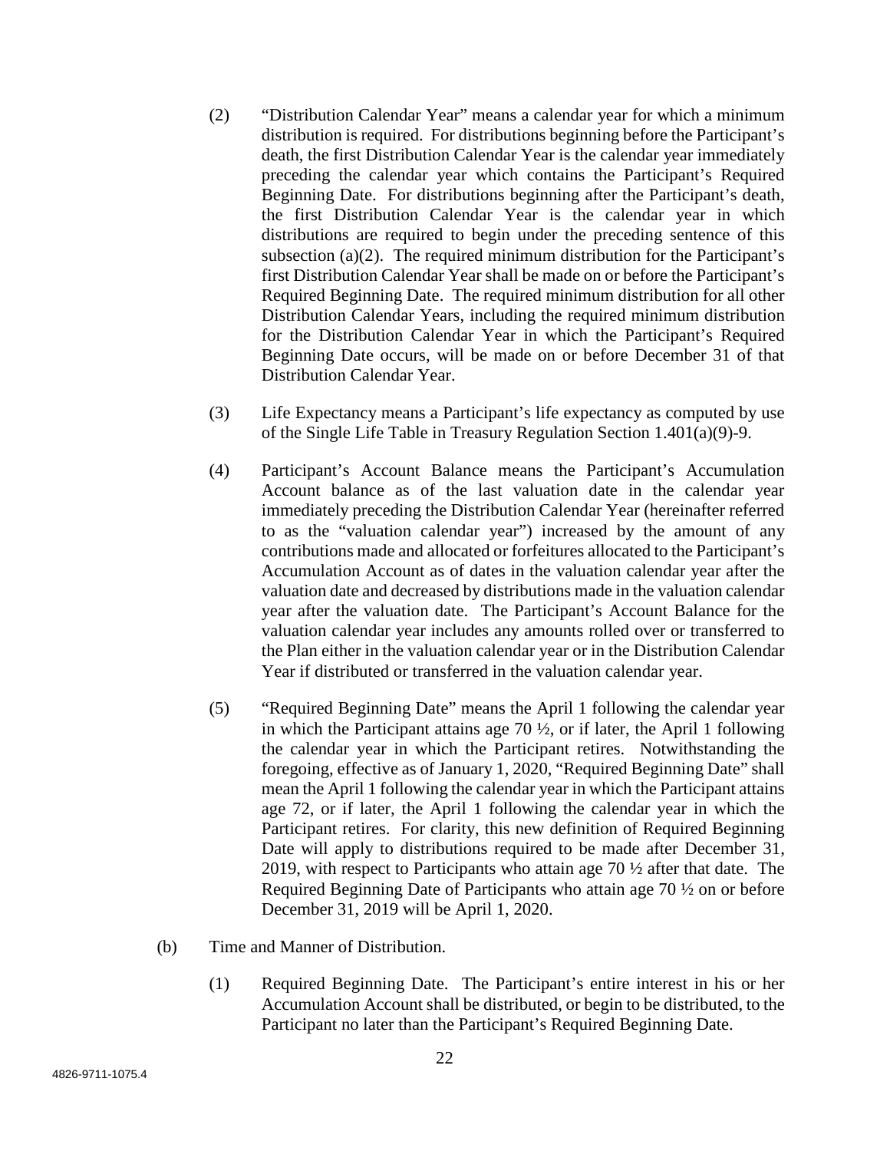- (2) "Distribution Calendar Year" means a calendar year for which a minimum distribution is required. For distributions beginning before the Participant's death, the first Distribution Calendar Year is the calendar year immediately preceding the calendar year which contains the Participant's Required Beginning Date. For distributions beginning after the Participant's death, the first Distribution Calendar Year is the calendar year in which distributions are required to begin under the preceding sentence of this subsection (a)(2). The required minimum distribution for the Participant's first Distribution Calendar Year shall be made on or before the Participant's Required Beginning Date. The required minimum distribution for all other Distribution Calendar Years, including the required minimum distribution for the Distribution Calendar Year in which the Participant's Required Beginning Date occurs, will be made on or before December 31 of that Distribution Calendar Year.
- (3) Life Expectancy means a Participant's life expectancy as computed by use of the Single Life Table in Treasury Regulation Section 1.401(a)(9)-9.
- (4) Participant's Account Balance means the Participant's Accumulation Account balance as of the last valuation date in the calendar year immediately preceding the Distribution Calendar Year (hereinafter referred to as the "valuation calendar year") increased by the amount of any contributions made and allocated or forfeitures allocated to the Participant's Accumulation Account as of dates in the valuation calendar year after the valuation date and decreased by distributions made in the valuation calendar year after the valuation date. The Participant's Account Balance for the valuation calendar year includes any amounts rolled over or transferred to the Plan either in the valuation calendar year or in the Distribution Calendar Year if distributed or transferred in the valuation calendar year.
- (5) "Required Beginning Date" means the April 1 following the calendar year in which the Participant attains age 70  $\frac{1}{2}$ , or if later, the April 1 following the calendar year in which the Participant retires. Notwithstanding the foregoing, effective as of January 1, 2020, "Required Beginning Date" shall mean the April 1 following the calendar year in which the Participant attains age 72, or if later, the April 1 following the calendar year in which the Participant retires. For clarity, this new definition of Required Beginning Date will apply to distributions required to be made after December 31, 2019, with respect to Participants who attain age 70 ½ after that date. The Required Beginning Date of Participants who attain age 70 ½ on or before December 31, 2019 will be April 1, 2020.
- (b) Time and Manner of Distribution.
	- (1) Required Beginning Date. The Participant's entire interest in his or her Accumulation Account shall be distributed, or begin to be distributed, to the Participant no later than the Participant's Required Beginning Date.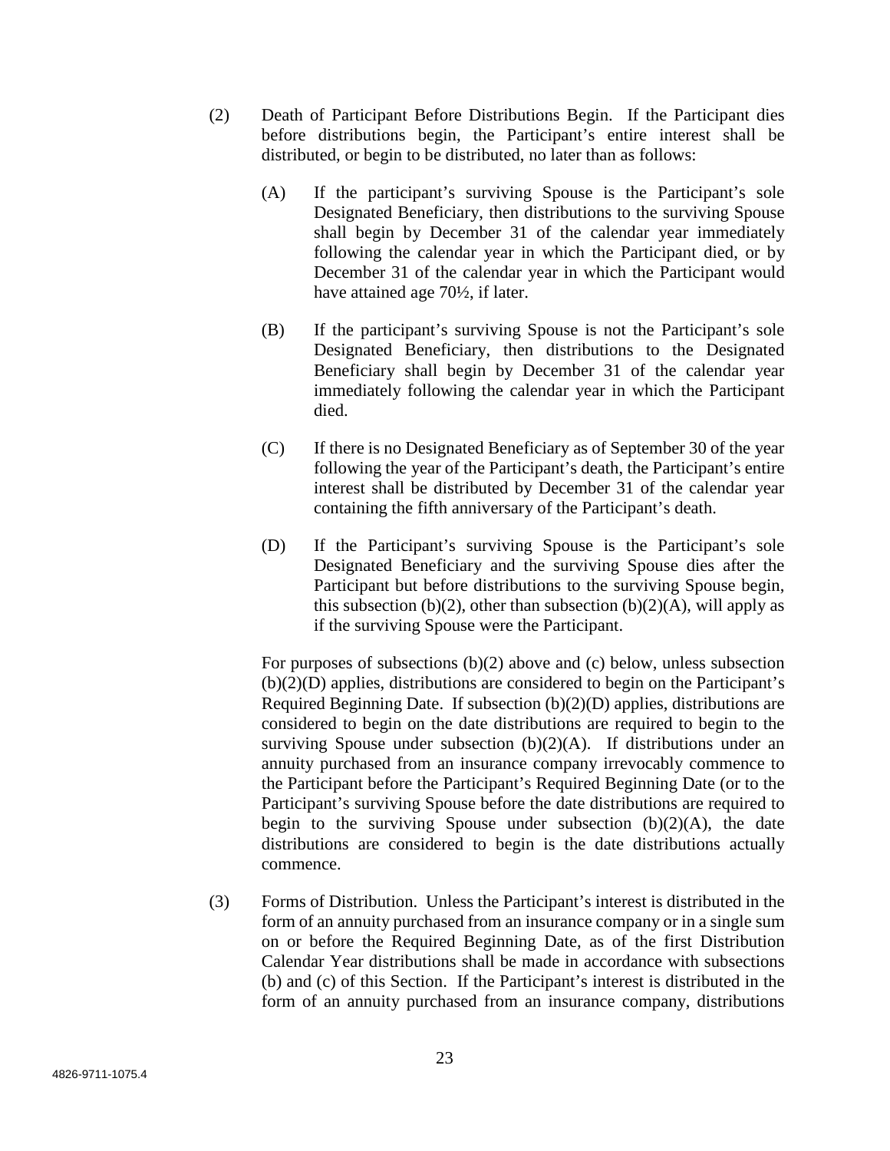- (2) Death of Participant Before Distributions Begin. If the Participant dies before distributions begin, the Participant's entire interest shall be distributed, or begin to be distributed, no later than as follows:
	- (A) If the participant's surviving Spouse is the Participant's sole Designated Beneficiary, then distributions to the surviving Spouse shall begin by December 31 of the calendar year immediately following the calendar year in which the Participant died, or by December 31 of the calendar year in which the Participant would have attained age 70½, if later.
	- (B) If the participant's surviving Spouse is not the Participant's sole Designated Beneficiary, then distributions to the Designated Beneficiary shall begin by December 31 of the calendar year immediately following the calendar year in which the Participant died.
	- (C) If there is no Designated Beneficiary as of September 30 of the year following the year of the Participant's death, the Participant's entire interest shall be distributed by December 31 of the calendar year containing the fifth anniversary of the Participant's death.
	- (D) If the Participant's surviving Spouse is the Participant's sole Designated Beneficiary and the surviving Spouse dies after the Participant but before distributions to the surviving Spouse begin, this subsection (b)(2), other than subsection (b)(2)(A), will apply as if the surviving Spouse were the Participant.

For purposes of subsections (b)(2) above and (c) below, unless subsection (b)(2)(D) applies, distributions are considered to begin on the Participant's Required Beginning Date. If subsection (b)(2)(D) applies, distributions are considered to begin on the date distributions are required to begin to the surviving Spouse under subsection  $(b)(2)(A)$ . If distributions under an annuity purchased from an insurance company irrevocably commence to the Participant before the Participant's Required Beginning Date (or to the Participant's surviving Spouse before the date distributions are required to begin to the surviving Spouse under subsection  $(b)(2)(A)$ , the date distributions are considered to begin is the date distributions actually commence.

(3) Forms of Distribution. Unless the Participant's interest is distributed in the form of an annuity purchased from an insurance company or in a single sum on or before the Required Beginning Date, as of the first Distribution Calendar Year distributions shall be made in accordance with subsections (b) and (c) of this Section. If the Participant's interest is distributed in the form of an annuity purchased from an insurance company, distributions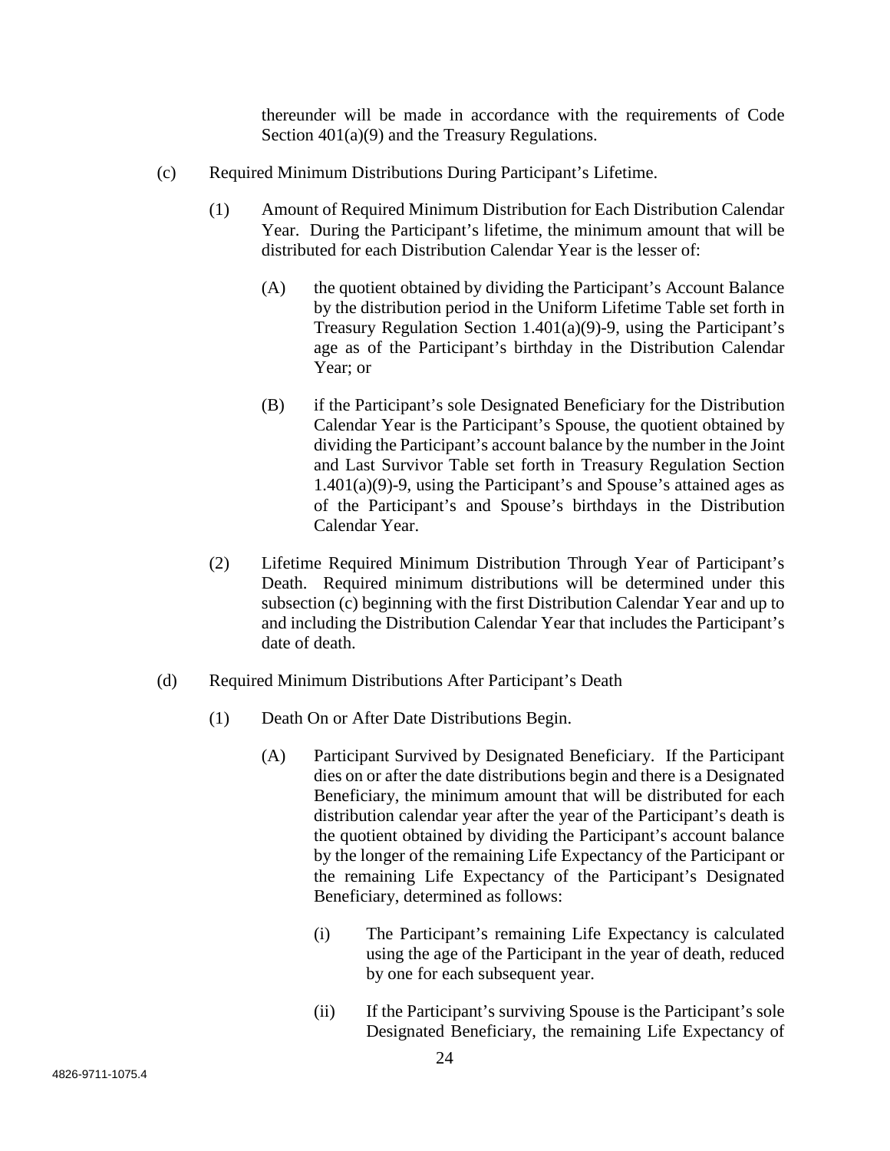thereunder will be made in accordance with the requirements of Code Section  $401(a)(9)$  and the Treasury Regulations.

- (c) Required Minimum Distributions During Participant's Lifetime.
	- (1) Amount of Required Minimum Distribution for Each Distribution Calendar Year. During the Participant's lifetime, the minimum amount that will be distributed for each Distribution Calendar Year is the lesser of:
		- (A) the quotient obtained by dividing the Participant's Account Balance by the distribution period in the Uniform Lifetime Table set forth in Treasury Regulation Section 1.401(a)(9)-9, using the Participant's age as of the Participant's birthday in the Distribution Calendar Year; or
		- (B) if the Participant's sole Designated Beneficiary for the Distribution Calendar Year is the Participant's Spouse, the quotient obtained by dividing the Participant's account balance by the number in the Joint and Last Survivor Table set forth in Treasury Regulation Section  $1.401(a)(9)$ -9, using the Participant's and Spouse's attained ages as of the Participant's and Spouse's birthdays in the Distribution Calendar Year.
	- (2) Lifetime Required Minimum Distribution Through Year of Participant's Death. Required minimum distributions will be determined under this subsection (c) beginning with the first Distribution Calendar Year and up to and including the Distribution Calendar Year that includes the Participant's date of death.
- (d) Required Minimum Distributions After Participant's Death
	- (1) Death On or After Date Distributions Begin.
		- (A) Participant Survived by Designated Beneficiary. If the Participant dies on or after the date distributions begin and there is a Designated Beneficiary, the minimum amount that will be distributed for each distribution calendar year after the year of the Participant's death is the quotient obtained by dividing the Participant's account balance by the longer of the remaining Life Expectancy of the Participant or the remaining Life Expectancy of the Participant's Designated Beneficiary, determined as follows:
			- (i) The Participant's remaining Life Expectancy is calculated using the age of the Participant in the year of death, reduced by one for each subsequent year.
			- (ii) If the Participant's surviving Spouse is the Participant's sole Designated Beneficiary, the remaining Life Expectancy of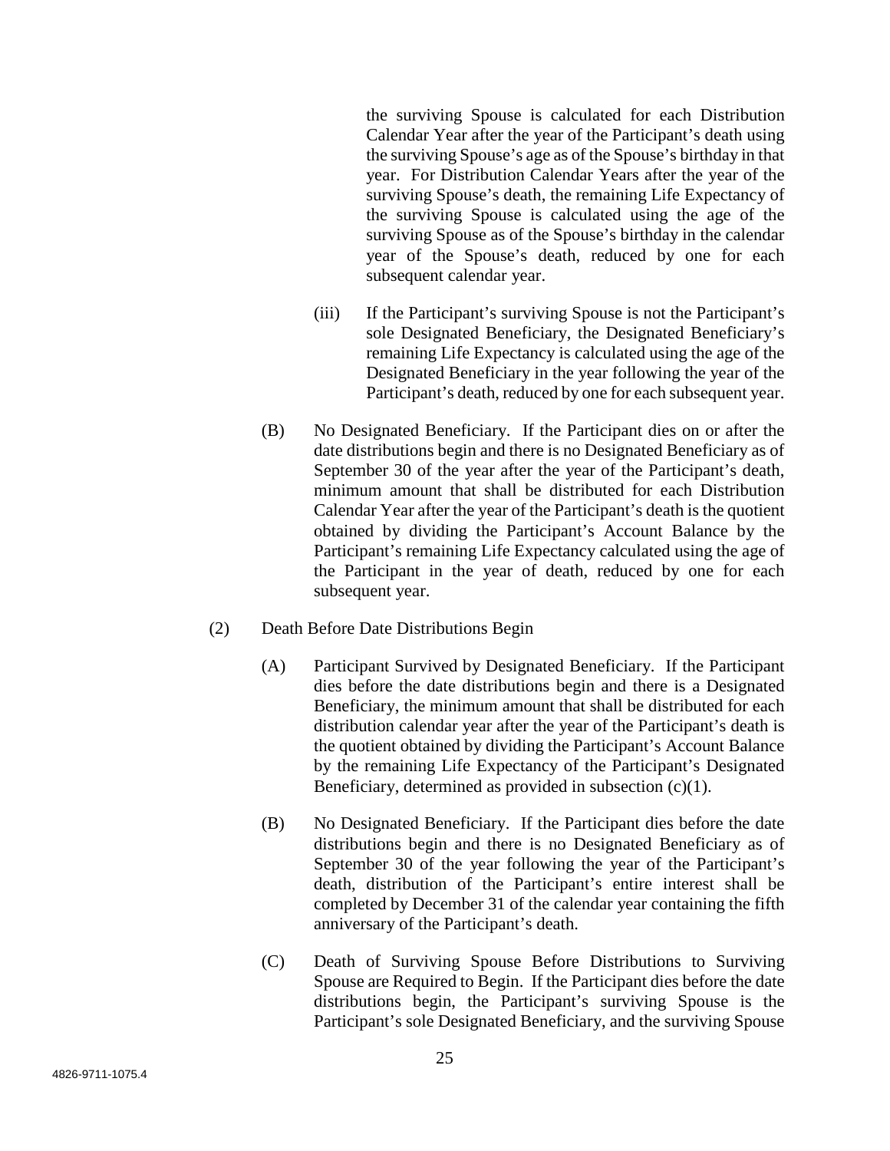the surviving Spouse is calculated for each Distribution Calendar Year after the year of the Participant's death using the surviving Spouse's age as of the Spouse's birthday in that year. For Distribution Calendar Years after the year of the surviving Spouse's death, the remaining Life Expectancy of the surviving Spouse is calculated using the age of the surviving Spouse as of the Spouse's birthday in the calendar year of the Spouse's death, reduced by one for each subsequent calendar year.

- (iii) If the Participant's surviving Spouse is not the Participant's sole Designated Beneficiary, the Designated Beneficiary's remaining Life Expectancy is calculated using the age of the Designated Beneficiary in the year following the year of the Participant's death, reduced by one for each subsequent year.
- (B) No Designated Beneficiary. If the Participant dies on or after the date distributions begin and there is no Designated Beneficiary as of September 30 of the year after the year of the Participant's death, minimum amount that shall be distributed for each Distribution Calendar Year after the year of the Participant's death is the quotient obtained by dividing the Participant's Account Balance by the Participant's remaining Life Expectancy calculated using the age of the Participant in the year of death, reduced by one for each subsequent year.
- (2) Death Before Date Distributions Begin
	- (A) Participant Survived by Designated Beneficiary. If the Participant dies before the date distributions begin and there is a Designated Beneficiary, the minimum amount that shall be distributed for each distribution calendar year after the year of the Participant's death is the quotient obtained by dividing the Participant's Account Balance by the remaining Life Expectancy of the Participant's Designated Beneficiary, determined as provided in subsection (c)(1).
	- (B) No Designated Beneficiary. If the Participant dies before the date distributions begin and there is no Designated Beneficiary as of September 30 of the year following the year of the Participant's death, distribution of the Participant's entire interest shall be completed by December 31 of the calendar year containing the fifth anniversary of the Participant's death.
	- (C) Death of Surviving Spouse Before Distributions to Surviving Spouse are Required to Begin. If the Participant dies before the date distributions begin, the Participant's surviving Spouse is the Participant's sole Designated Beneficiary, and the surviving Spouse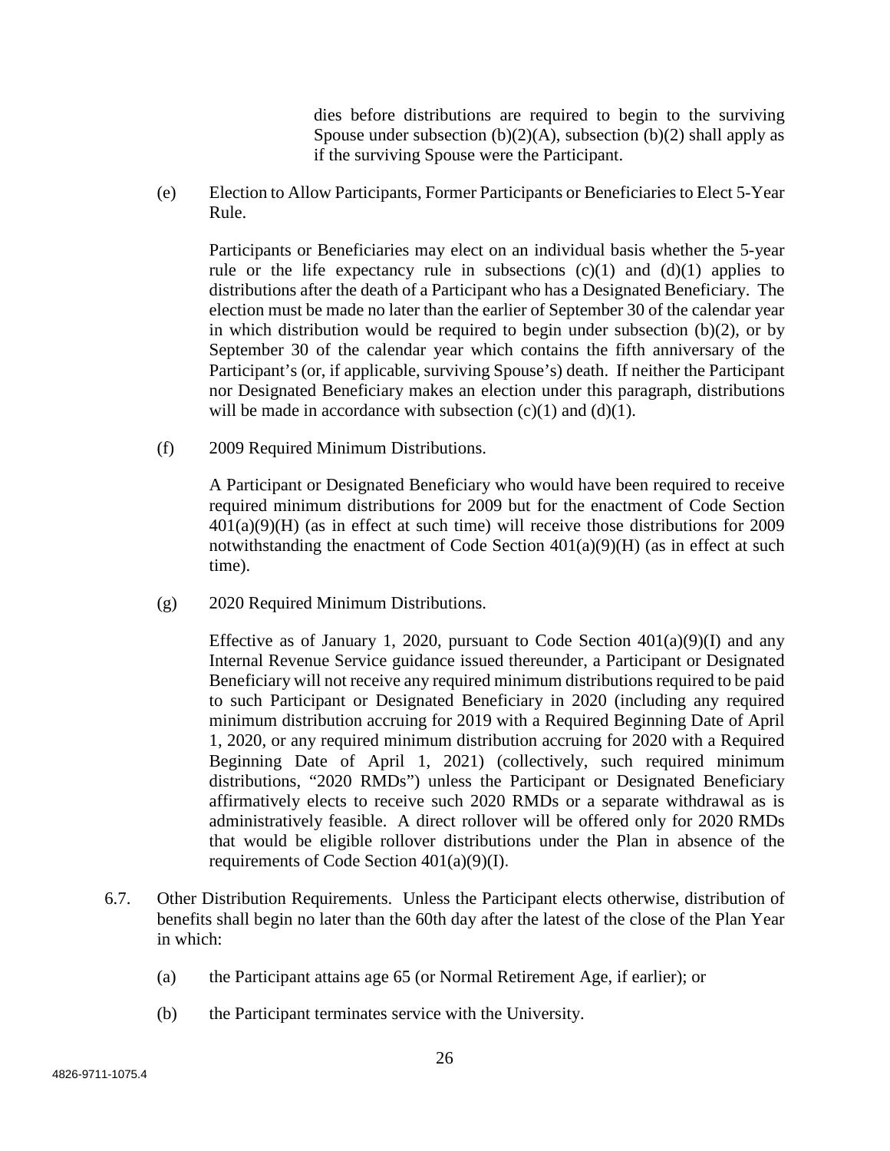dies before distributions are required to begin to the surviving Spouse under subsection  $(b)(2)(A)$ , subsection  $(b)(2)$  shall apply as if the surviving Spouse were the Participant.

(e) Election to Allow Participants, Former Participants or Beneficiaries to Elect 5-Year Rule.

Participants or Beneficiaries may elect on an individual basis whether the 5-year rule or the life expectancy rule in subsections  $(c)(1)$  and  $(d)(1)$  applies to distributions after the death of a Participant who has a Designated Beneficiary. The election must be made no later than the earlier of September 30 of the calendar year in which distribution would be required to begin under subsection  $(b)(2)$ , or by September 30 of the calendar year which contains the fifth anniversary of the Participant's (or, if applicable, surviving Spouse's) death. If neither the Participant nor Designated Beneficiary makes an election under this paragraph, distributions will be made in accordance with subsection  $(c)(1)$  and  $(d)(1)$ .

(f) 2009 Required Minimum Distributions.

A Participant or Designated Beneficiary who would have been required to receive required minimum distributions for 2009 but for the enactment of Code Section 401(a)(9)(H) (as in effect at such time) will receive those distributions for 2009 notwithstanding the enactment of Code Section  $401(a)(9)(H)$  (as in effect at such time).

(g) 2020 Required Minimum Distributions.

Effective as of January 1, 2020, pursuant to Code Section  $401(a)(9)(I)$  and any Internal Revenue Service guidance issued thereunder, a Participant or Designated Beneficiary will not receive any required minimum distributions required to be paid to such Participant or Designated Beneficiary in 2020 (including any required minimum distribution accruing for 2019 with a Required Beginning Date of April 1, 2020, or any required minimum distribution accruing for 2020 with a Required Beginning Date of April 1, 2021) (collectively, such required minimum distributions, "2020 RMDs") unless the Participant or Designated Beneficiary affirmatively elects to receive such 2020 RMDs or a separate withdrawal as is administratively feasible. A direct rollover will be offered only for 2020 RMDs that would be eligible rollover distributions under the Plan in absence of the requirements of Code Section 401(a)(9)(I).

- 6.7. Other Distribution Requirements. Unless the Participant elects otherwise, distribution of benefits shall begin no later than the 60th day after the latest of the close of the Plan Year in which:
	- (a) the Participant attains age 65 (or Normal Retirement Age, if earlier); or
	- (b) the Participant terminates service with the University.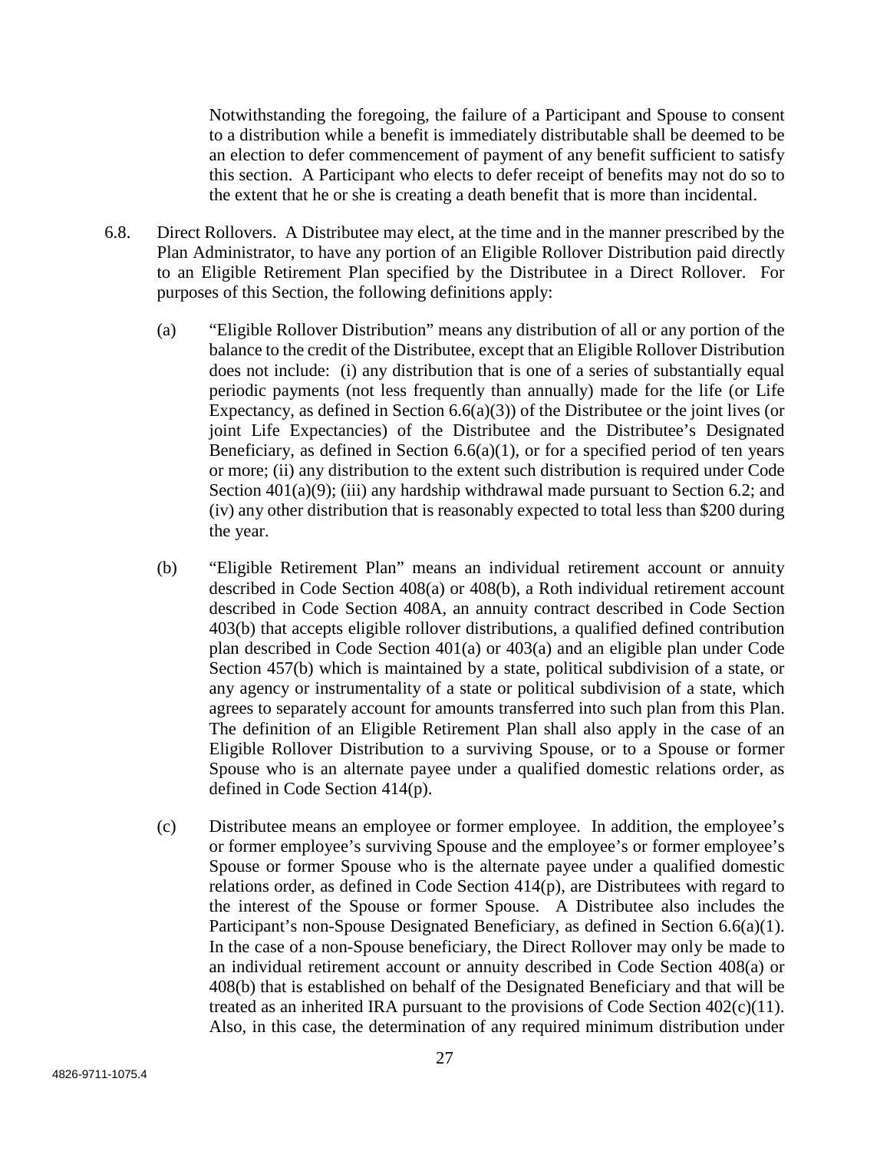Notwithstanding the foregoing, the failure of a Participant and Spouse to consent to a distribution while a benefit is immediately distributable shall be deemed to be an election to defer commencement of payment of any benefit sufficient to satisfy this section. A Participant who elects to defer receipt of benefits may not do so to the extent that he or she is creating a death benefit that is more than incidental.

- 6.8. Direct Rollovers. A Distributee may elect, at the time and in the manner prescribed by the Plan Administrator, to have any portion of an Eligible Rollover Distribution paid directly to an Eligible Retirement Plan specified by the Distributee in a Direct Rollover. For purposes of this Section, the following definitions apply:
	- (a) "Eligible Rollover Distribution" means any distribution of all or any portion of the balance to the credit of the Distributee, except that an Eligible Rollover Distribution does not include: (i) any distribution that is one of a series of substantially equal periodic payments (not less frequently than annually) made for the life (or Life Expectancy, as defined in Section  $6.6(a)(3)$  of the Distributee or the joint lives (or joint Life Expectancies) of the Distributee and the Distributee's Designated Beneficiary, as defined in Section  $6.6(a)(1)$ , or for a specified period of ten years or more; (ii) any distribution to the extent such distribution is required under Code Section  $401(a)(9)$ ; (iii) any hardship withdrawal made pursuant to Section 6.2; and (iv) any other distribution that is reasonably expected to total less than \$200 during the year.
	- (b) "Eligible Retirement Plan" means an individual retirement account or annuity described in Code Section 408(a) or 408(b), a Roth individual retirement account described in Code Section 408A, an annuity contract described in Code Section 403(b) that accepts eligible rollover distributions, a qualified defined contribution plan described in Code Section 401(a) or 403(a) and an eligible plan under Code Section 457(b) which is maintained by a state, political subdivision of a state, or any agency or instrumentality of a state or political subdivision of a state, which agrees to separately account for amounts transferred into such plan from this Plan. The definition of an Eligible Retirement Plan shall also apply in the case of an Eligible Rollover Distribution to a surviving Spouse, or to a Spouse or former Spouse who is an alternate payee under a qualified domestic relations order, as defined in Code Section 414(p).
	- (c) Distributee means an employee or former employee. In addition, the employee's or former employee's surviving Spouse and the employee's or former employee's Spouse or former Spouse who is the alternate payee under a qualified domestic relations order, as defined in Code Section 414(p), are Distributees with regard to the interest of the Spouse or former Spouse. A Distributee also includes the Participant's non-Spouse Designated Beneficiary, as defined in Section 6.6(a)(1). In the case of a non-Spouse beneficiary, the Direct Rollover may only be made to an individual retirement account or annuity described in Code Section 408(a) or 408(b) that is established on behalf of the Designated Beneficiary and that will be treated as an inherited IRA pursuant to the provisions of Code Section 402(c)(11). Also, in this case, the determination of any required minimum distribution under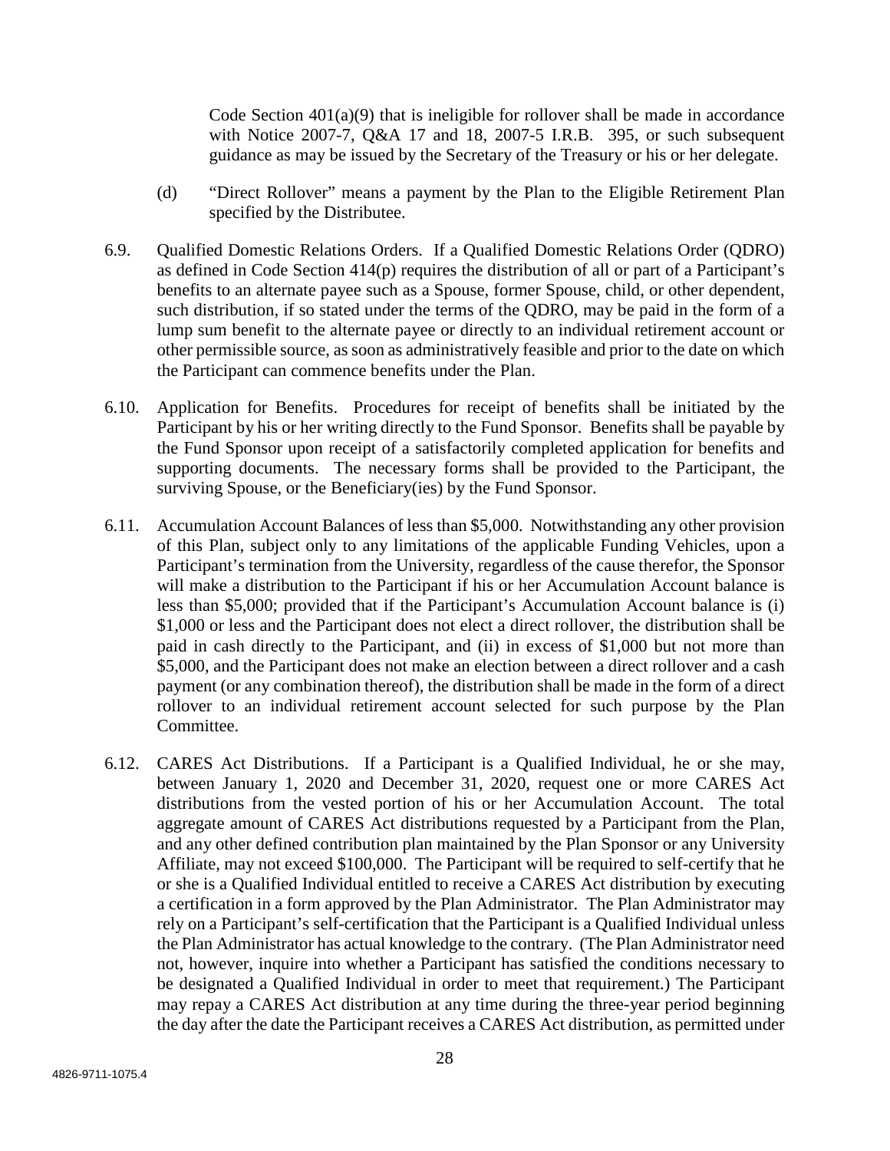Code Section  $401(a)(9)$  that is ineligible for rollover shall be made in accordance with Notice 2007-7, Q&A 17 and 18, 2007-5 I.R.B. 395, or such subsequent guidance as may be issued by the Secretary of the Treasury or his or her delegate.

- (d) "Direct Rollover" means a payment by the Plan to the Eligible Retirement Plan specified by the Distributee.
- 6.9. Qualified Domestic Relations Orders. If a Qualified Domestic Relations Order (QDRO) as defined in Code Section 414(p) requires the distribution of all or part of a Participant's benefits to an alternate payee such as a Spouse, former Spouse, child, or other dependent, such distribution, if so stated under the terms of the QDRO, may be paid in the form of a lump sum benefit to the alternate payee or directly to an individual retirement account or other permissible source, as soon as administratively feasible and prior to the date on which the Participant can commence benefits under the Plan.
- 6.10. Application for Benefits. Procedures for receipt of benefits shall be initiated by the Participant by his or her writing directly to the Fund Sponsor. Benefits shall be payable by the Fund Sponsor upon receipt of a satisfactorily completed application for benefits and supporting documents. The necessary forms shall be provided to the Participant, the surviving Spouse, or the Beneficiary(ies) by the Fund Sponsor.
- 6.11. Accumulation Account Balances of less than \$5,000. Notwithstanding any other provision of this Plan, subject only to any limitations of the applicable Funding Vehicles, upon a Participant's termination from the University, regardless of the cause therefor, the Sponsor will make a distribution to the Participant if his or her Accumulation Account balance is less than \$5,000; provided that if the Participant's Accumulation Account balance is (i) \$1,000 or less and the Participant does not elect a direct rollover, the distribution shall be paid in cash directly to the Participant, and (ii) in excess of \$1,000 but not more than \$5,000, and the Participant does not make an election between a direct rollover and a cash payment (or any combination thereof), the distribution shall be made in the form of a direct rollover to an individual retirement account selected for such purpose by the Plan Committee.
- 6.12. CARES Act Distributions. If a Participant is a Qualified Individual, he or she may, between January 1, 2020 and December 31, 2020, request one or more CARES Act distributions from the vested portion of his or her Accumulation Account. The total aggregate amount of CARES Act distributions requested by a Participant from the Plan, and any other defined contribution plan maintained by the Plan Sponsor or any University Affiliate, may not exceed \$100,000. The Participant will be required to self-certify that he or she is a Qualified Individual entitled to receive a CARES Act distribution by executing a certification in a form approved by the Plan Administrator. The Plan Administrator may rely on a Participant's self-certification that the Participant is a Qualified Individual unless the Plan Administrator has actual knowledge to the contrary. (The Plan Administrator need not, however, inquire into whether a Participant has satisfied the conditions necessary to be designated a Qualified Individual in order to meet that requirement.) The Participant may repay a CARES Act distribution at any time during the three-year period beginning the day after the date the Participant receives a CARES Act distribution, as permitted under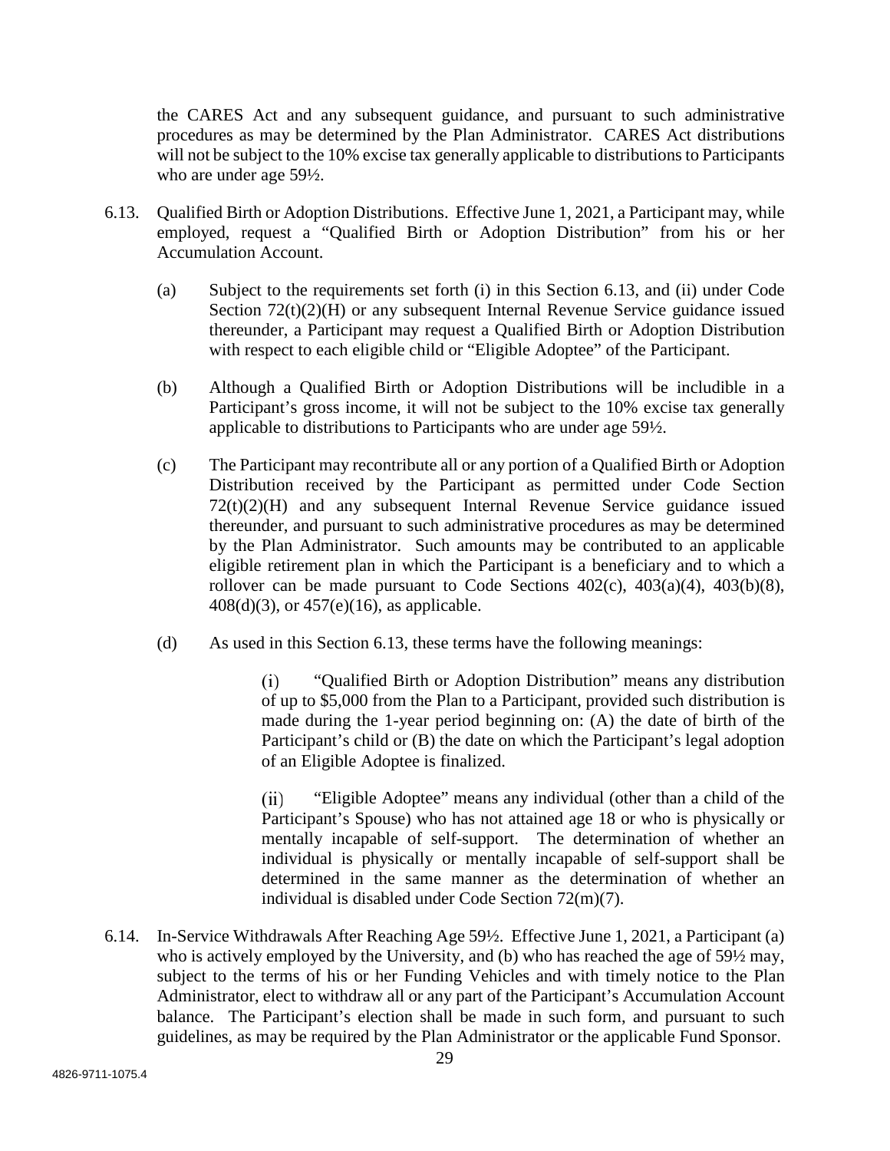the CARES Act and any subsequent guidance, and pursuant to such administrative procedures as may be determined by the Plan Administrator. CARES Act distributions will not be subject to the 10% excise tax generally applicable to distributions to Participants who are under age 59½.

- 6.13. Qualified Birth or Adoption Distributions. Effective June 1, 2021, a Participant may, while employed, request a "Qualified Birth or Adoption Distribution" from his or her Accumulation Account.
	- (a) Subject to the requirements set forth (i) in this Section 6.13, and (ii) under Code Section  $72(t)(2)(H)$  or any subsequent Internal Revenue Service guidance issued thereunder, a Participant may request a Qualified Birth or Adoption Distribution with respect to each eligible child or "Eligible Adoptee" of the Participant.
	- (b) Although a Qualified Birth or Adoption Distributions will be includible in a Participant's gross income, it will not be subject to the 10% excise tax generally applicable to distributions to Participants who are under age 59½.
	- (c) The Participant may recontribute all or any portion of a Qualified Birth or Adoption Distribution received by the Participant as permitted under Code Section 72(t)(2)(H) and any subsequent Internal Revenue Service guidance issued thereunder, and pursuant to such administrative procedures as may be determined by the Plan Administrator. Such amounts may be contributed to an applicable eligible retirement plan in which the Participant is a beneficiary and to which a rollover can be made pursuant to Code Sections  $402(c)$ ,  $403(a)(4)$ ,  $403(b)(8)$ , 408(d)(3), or 457(e)(16), as applicable.
	- (d) As used in this Section 6.13, these terms have the following meanings:

 $(i)$ "Qualified Birth or Adoption Distribution" means any distribution of up to \$5,000 from the Plan to a Participant, provided such distribution is made during the 1-year period beginning on: (A) the date of birth of the Participant's child or (B) the date on which the Participant's legal adoption of an Eligible Adoptee is finalized.

 $(ii)$ "Eligible Adoptee" means any individual (other than a child of the Participant's Spouse) who has not attained age 18 or who is physically or mentally incapable of self-support. The determination of whether an individual is physically or mentally incapable of self-support shall be determined in the same manner as the determination of whether an individual is disabled under Code Section 72(m)(7).

6.14. In-Service Withdrawals After Reaching Age 59½. Effective June 1, 2021, a Participant (a) who is actively employed by the University, and (b) who has reached the age of 59<sup>1/2</sup> may, subject to the terms of his or her Funding Vehicles and with timely notice to the Plan Administrator, elect to withdraw all or any part of the Participant's Accumulation Account balance. The Participant's election shall be made in such form, and pursuant to such guidelines, as may be required by the Plan Administrator or the applicable Fund Sponsor.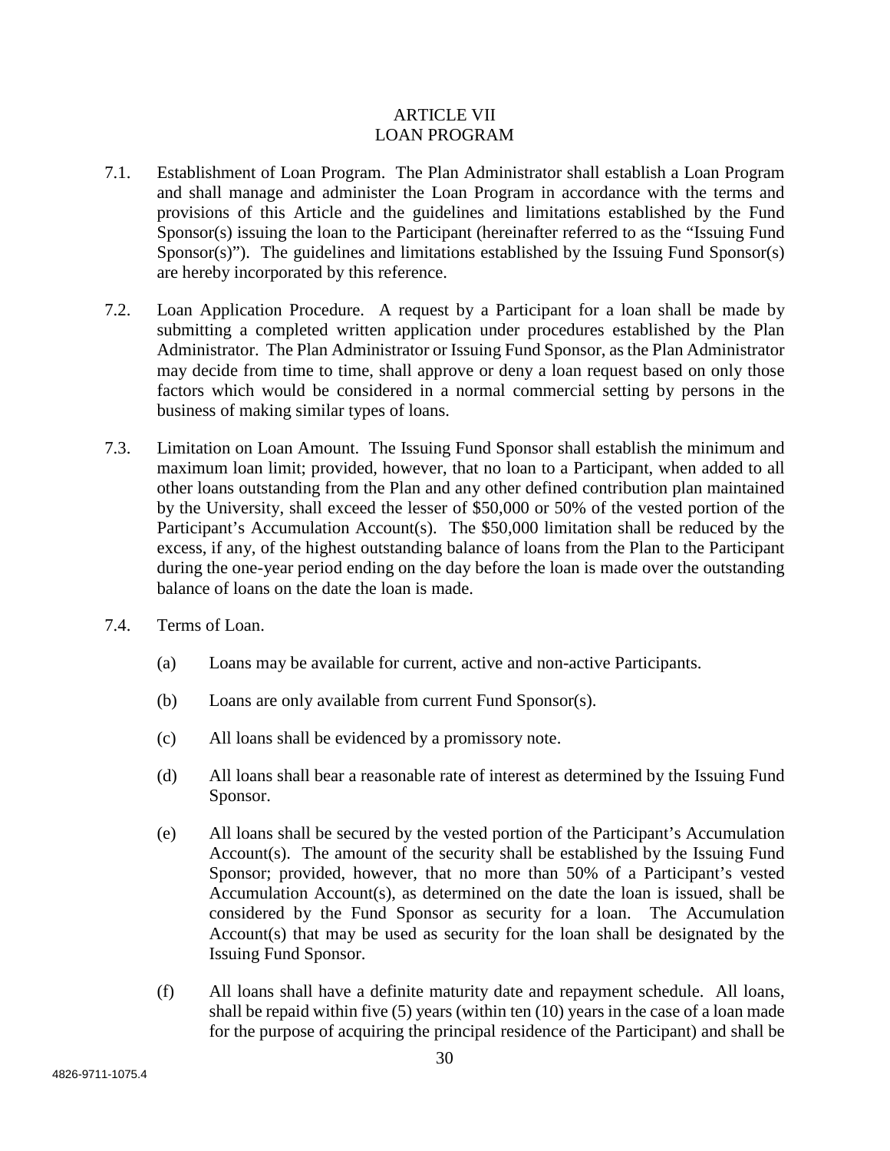## ARTICLE VII LOAN PROGRAM

- 7.1. Establishment of Loan Program. The Plan Administrator shall establish a Loan Program and shall manage and administer the Loan Program in accordance with the terms and provisions of this Article and the guidelines and limitations established by the Fund Sponsor(s) issuing the loan to the Participant (hereinafter referred to as the "Issuing Fund Sponsor(s)"). The guidelines and limitations established by the Issuing Fund Sponsor(s) are hereby incorporated by this reference.
- 7.2. Loan Application Procedure. A request by a Participant for a loan shall be made by submitting a completed written application under procedures established by the Plan Administrator. The Plan Administrator or Issuing Fund Sponsor, as the Plan Administrator may decide from time to time, shall approve or deny a loan request based on only those factors which would be considered in a normal commercial setting by persons in the business of making similar types of loans.
- 7.3. Limitation on Loan Amount. The Issuing Fund Sponsor shall establish the minimum and maximum loan limit; provided, however, that no loan to a Participant, when added to all other loans outstanding from the Plan and any other defined contribution plan maintained by the University, shall exceed the lesser of \$50,000 or 50% of the vested portion of the Participant's Accumulation Account(s). The \$50,000 limitation shall be reduced by the excess, if any, of the highest outstanding balance of loans from the Plan to the Participant during the one-year period ending on the day before the loan is made over the outstanding balance of loans on the date the loan is made.
- 7.4. Terms of Loan.
	- (a) Loans may be available for current, active and non-active Participants.
	- (b) Loans are only available from current Fund Sponsor(s).
	- (c) All loans shall be evidenced by a promissory note.
	- (d) All loans shall bear a reasonable rate of interest as determined by the Issuing Fund Sponsor.
	- (e) All loans shall be secured by the vested portion of the Participant's Accumulation Account(s). The amount of the security shall be established by the Issuing Fund Sponsor; provided, however, that no more than 50% of a Participant's vested Accumulation Account(s), as determined on the date the loan is issued, shall be considered by the Fund Sponsor as security for a loan. The Accumulation Account(s) that may be used as security for the loan shall be designated by the Issuing Fund Sponsor.
	- (f) All loans shall have a definite maturity date and repayment schedule. All loans, shall be repaid within five (5) years (within ten (10) years in the case of a loan made for the purpose of acquiring the principal residence of the Participant) and shall be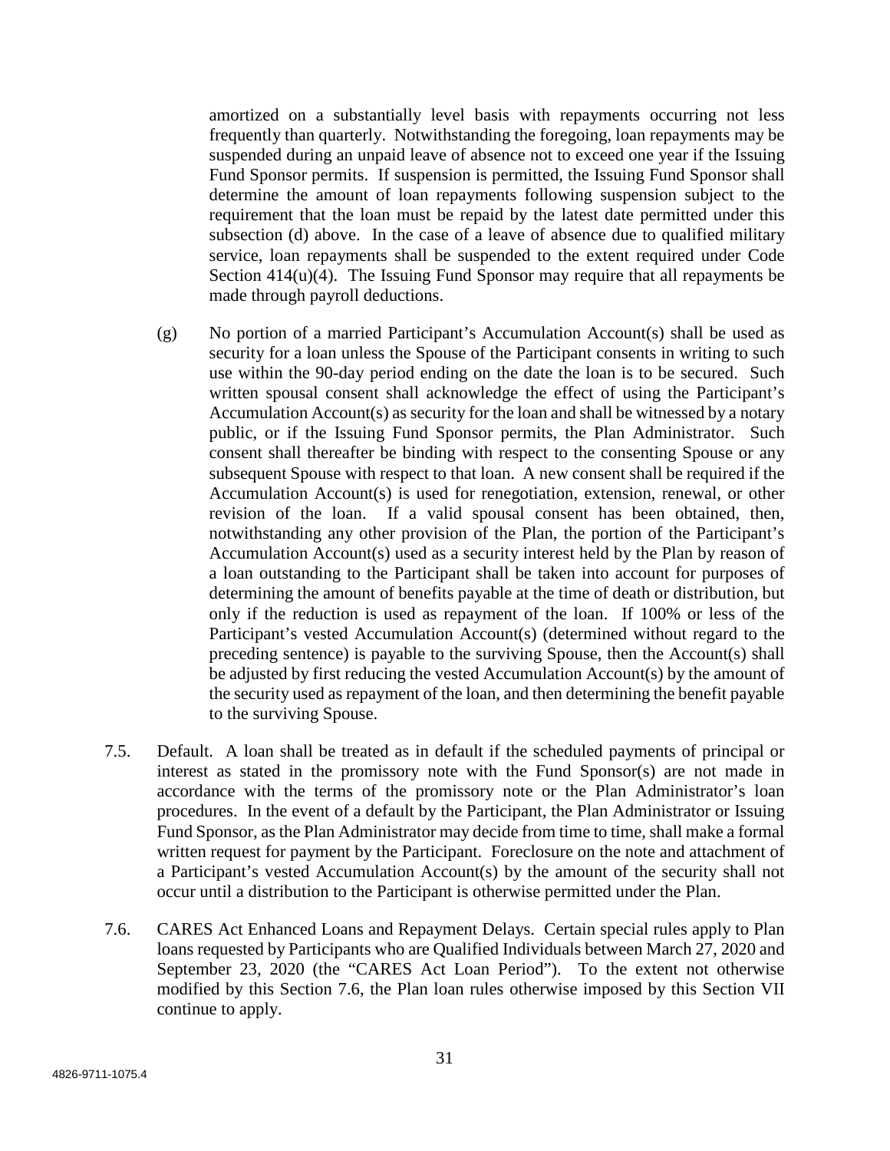amortized on a substantially level basis with repayments occurring not less frequently than quarterly. Notwithstanding the foregoing, loan repayments may be suspended during an unpaid leave of absence not to exceed one year if the Issuing Fund Sponsor permits. If suspension is permitted, the Issuing Fund Sponsor shall determine the amount of loan repayments following suspension subject to the requirement that the loan must be repaid by the latest date permitted under this subsection (d) above. In the case of a leave of absence due to qualified military service, loan repayments shall be suspended to the extent required under Code Section  $414(u)(4)$ . The Issuing Fund Sponsor may require that all repayments be made through payroll deductions.

- (g) No portion of a married Participant's Accumulation Account(s) shall be used as security for a loan unless the Spouse of the Participant consents in writing to such use within the 90-day period ending on the date the loan is to be secured. Such written spousal consent shall acknowledge the effect of using the Participant's Accumulation Account(s) as security for the loan and shall be witnessed by a notary public, or if the Issuing Fund Sponsor permits, the Plan Administrator. Such consent shall thereafter be binding with respect to the consenting Spouse or any subsequent Spouse with respect to that loan. A new consent shall be required if the Accumulation Account(s) is used for renegotiation, extension, renewal, or other revision of the loan. If a valid spousal consent has been obtained, then, notwithstanding any other provision of the Plan, the portion of the Participant's Accumulation Account(s) used as a security interest held by the Plan by reason of a loan outstanding to the Participant shall be taken into account for purposes of determining the amount of benefits payable at the time of death or distribution, but only if the reduction is used as repayment of the loan. If 100% or less of the Participant's vested Accumulation Account(s) (determined without regard to the preceding sentence) is payable to the surviving Spouse, then the Account(s) shall be adjusted by first reducing the vested Accumulation Account(s) by the amount of the security used as repayment of the loan, and then determining the benefit payable to the surviving Spouse.
- 7.5. Default. A loan shall be treated as in default if the scheduled payments of principal or interest as stated in the promissory note with the Fund Sponsor(s) are not made in accordance with the terms of the promissory note or the Plan Administrator's loan procedures. In the event of a default by the Participant, the Plan Administrator or Issuing Fund Sponsor, as the Plan Administrator may decide from time to time, shall make a formal written request for payment by the Participant. Foreclosure on the note and attachment of a Participant's vested Accumulation Account(s) by the amount of the security shall not occur until a distribution to the Participant is otherwise permitted under the Plan.
- 7.6. CARES Act Enhanced Loans and Repayment Delays. Certain special rules apply to Plan loans requested by Participants who are Qualified Individuals between March 27, 2020 and September 23, 2020 (the "CARES Act Loan Period"). To the extent not otherwise modified by this Section 7.6, the Plan loan rules otherwise imposed by this Section VII continue to apply.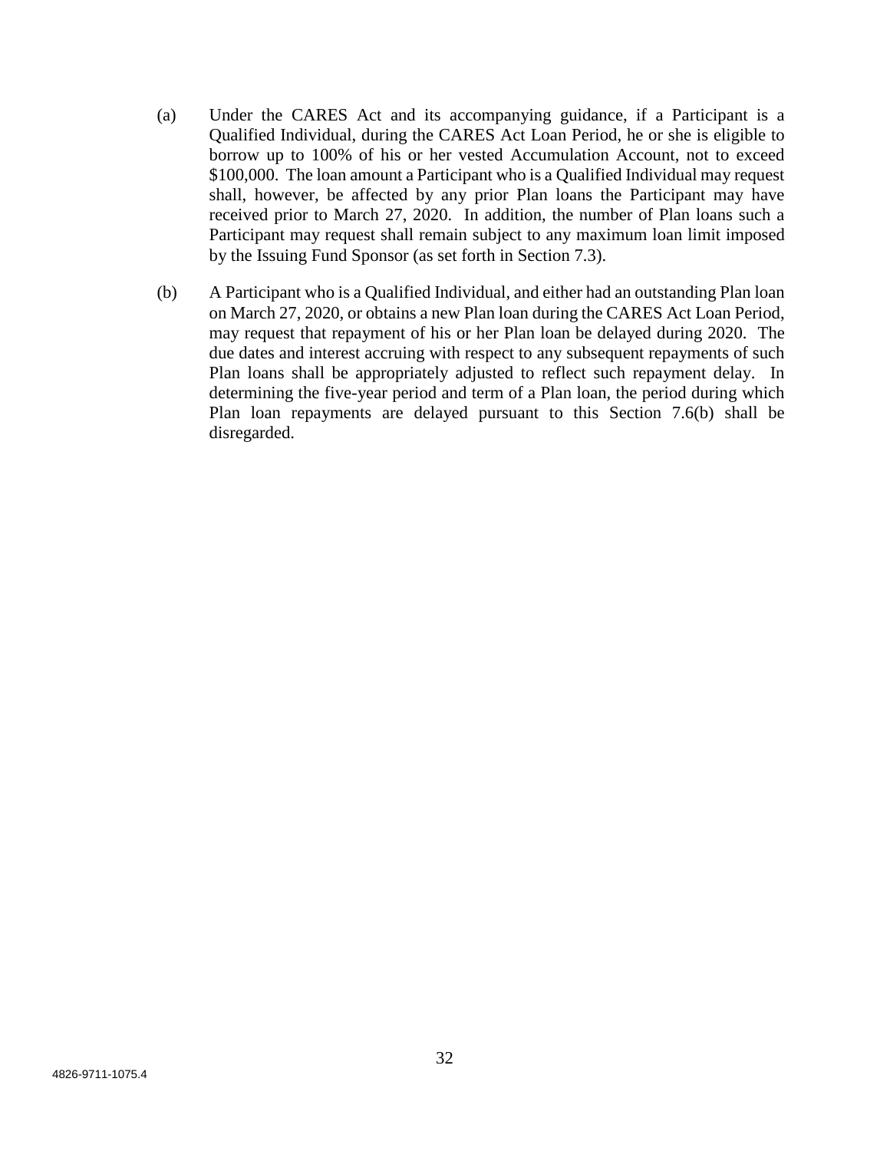- (a) Under the CARES Act and its accompanying guidance, if a Participant is a Qualified Individual, during the CARES Act Loan Period, he or she is eligible to borrow up to 100% of his or her vested Accumulation Account, not to exceed \$100,000. The loan amount a Participant who is a Qualified Individual may request shall, however, be affected by any prior Plan loans the Participant may have received prior to March 27, 2020. In addition, the number of Plan loans such a Participant may request shall remain subject to any maximum loan limit imposed by the Issuing Fund Sponsor (as set forth in Section 7.3).
- (b) A Participant who is a Qualified Individual, and either had an outstanding Plan loan on March 27, 2020, or obtains a new Plan loan during the CARES Act Loan Period, may request that repayment of his or her Plan loan be delayed during 2020. The due dates and interest accruing with respect to any subsequent repayments of such Plan loans shall be appropriately adjusted to reflect such repayment delay. In determining the five-year period and term of a Plan loan, the period during which Plan loan repayments are delayed pursuant to this Section 7.6(b) shall be disregarded.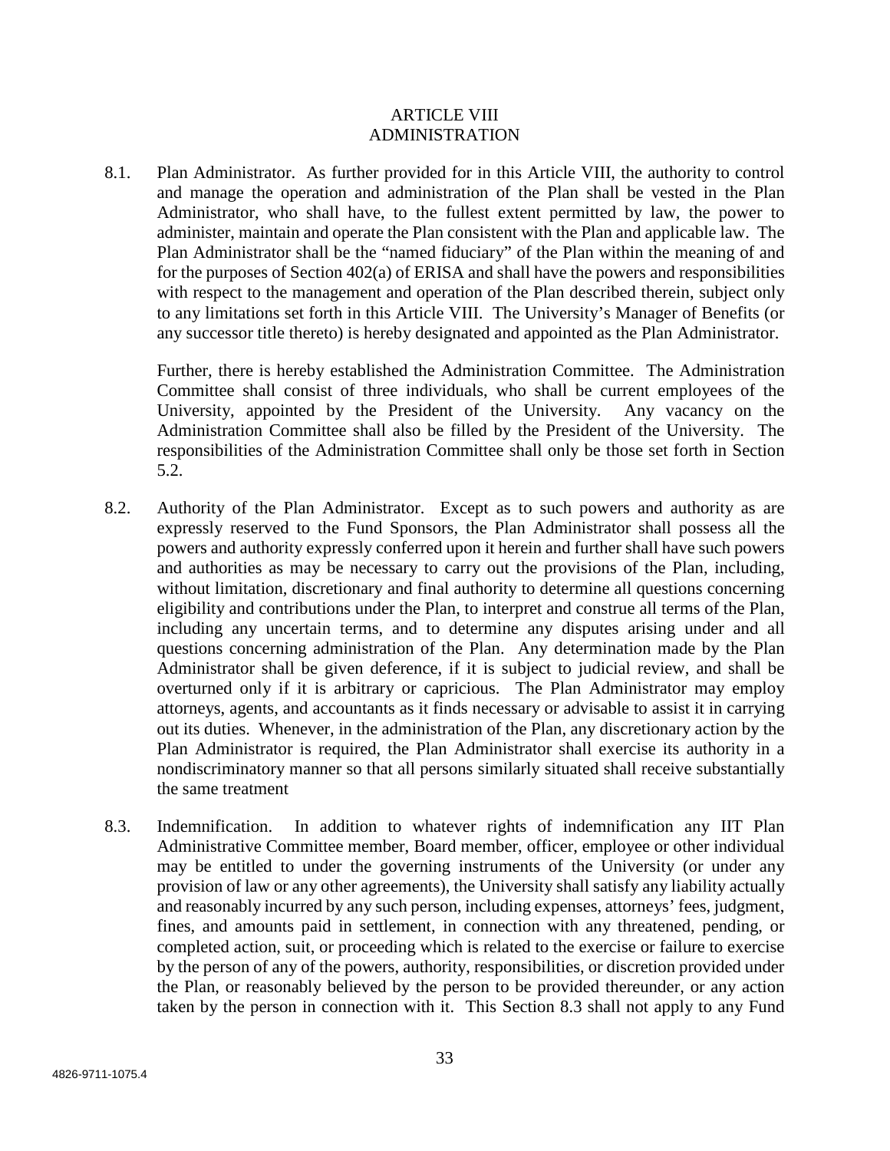#### ARTICLE VIII ADMINISTRATION

8.1. Plan Administrator. As further provided for in this Article VIII, the authority to control and manage the operation and administration of the Plan shall be vested in the Plan Administrator, who shall have, to the fullest extent permitted by law, the power to administer, maintain and operate the Plan consistent with the Plan and applicable law. The Plan Administrator shall be the "named fiduciary" of the Plan within the meaning of and for the purposes of Section 402(a) of ERISA and shall have the powers and responsibilities with respect to the management and operation of the Plan described therein, subject only to any limitations set forth in this Article VIII. The University's Manager of Benefits (or any successor title thereto) is hereby designated and appointed as the Plan Administrator.

Further, there is hereby established the Administration Committee. The Administration Committee shall consist of three individuals, who shall be current employees of the University, appointed by the President of the University. Any vacancy on the Administration Committee shall also be filled by the President of the University. The responsibilities of the Administration Committee shall only be those set forth in Section 5.2.

- 8.2. Authority of the Plan Administrator. Except as to such powers and authority as are expressly reserved to the Fund Sponsors, the Plan Administrator shall possess all the powers and authority expressly conferred upon it herein and further shall have such powers and authorities as may be necessary to carry out the provisions of the Plan, including, without limitation, discretionary and final authority to determine all questions concerning eligibility and contributions under the Plan, to interpret and construe all terms of the Plan, including any uncertain terms, and to determine any disputes arising under and all questions concerning administration of the Plan. Any determination made by the Plan Administrator shall be given deference, if it is subject to judicial review, and shall be overturned only if it is arbitrary or capricious. The Plan Administrator may employ attorneys, agents, and accountants as it finds necessary or advisable to assist it in carrying out its duties. Whenever, in the administration of the Plan, any discretionary action by the Plan Administrator is required, the Plan Administrator shall exercise its authority in a nondiscriminatory manner so that all persons similarly situated shall receive substantially the same treatment
- 8.3. Indemnification. In addition to whatever rights of indemnification any IIT Plan Administrative Committee member, Board member, officer, employee or other individual may be entitled to under the governing instruments of the University (or under any provision of law or any other agreements), the University shall satisfy any liability actually and reasonably incurred by any such person, including expenses, attorneys' fees, judgment, fines, and amounts paid in settlement, in connection with any threatened, pending, or completed action, suit, or proceeding which is related to the exercise or failure to exercise by the person of any of the powers, authority, responsibilities, or discretion provided under the Plan, or reasonably believed by the person to be provided thereunder, or any action taken by the person in connection with it. This Section 8.3 shall not apply to any Fund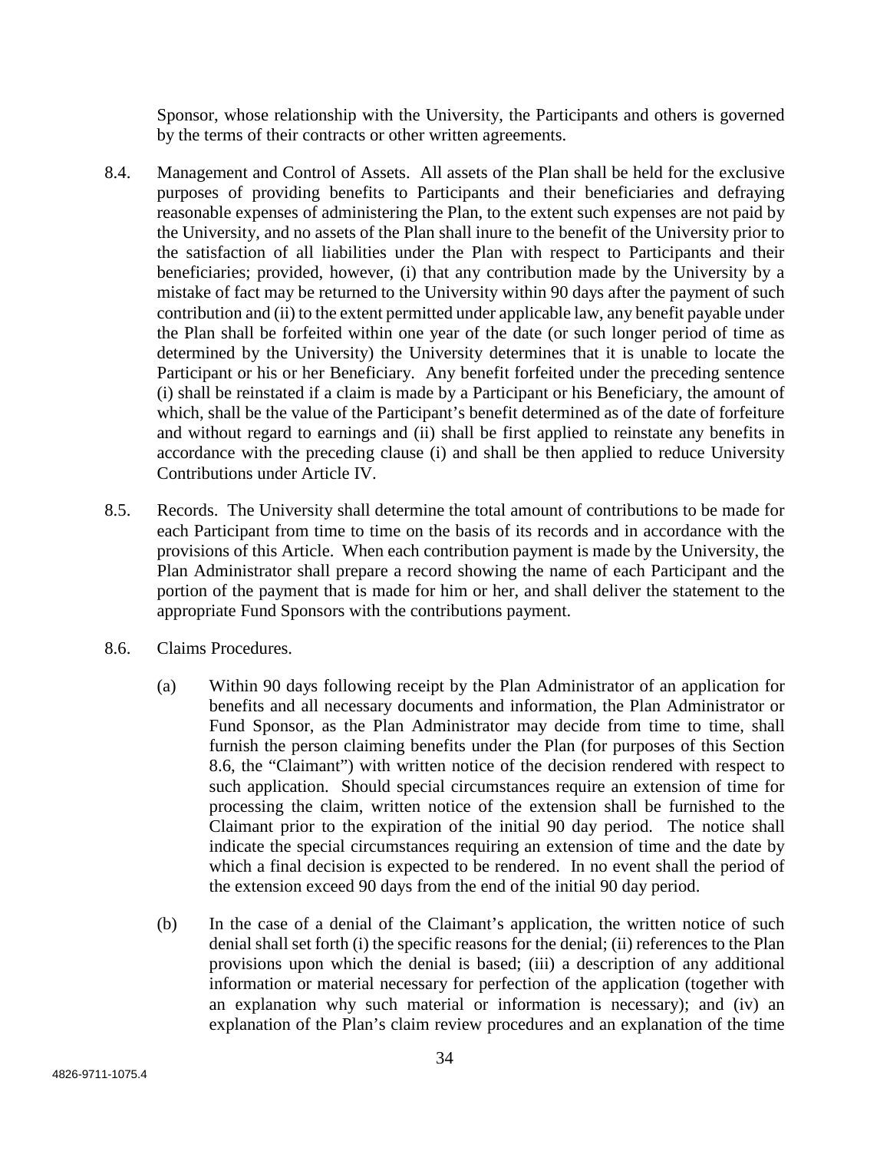Sponsor, whose relationship with the University, the Participants and others is governed by the terms of their contracts or other written agreements.

- 8.4. Management and Control of Assets. All assets of the Plan shall be held for the exclusive purposes of providing benefits to Participants and their beneficiaries and defraying reasonable expenses of administering the Plan, to the extent such expenses are not paid by the University, and no assets of the Plan shall inure to the benefit of the University prior to the satisfaction of all liabilities under the Plan with respect to Participants and their beneficiaries; provided, however, (i) that any contribution made by the University by a mistake of fact may be returned to the University within 90 days after the payment of such contribution and (ii) to the extent permitted under applicable law, any benefit payable under the Plan shall be forfeited within one year of the date (or such longer period of time as determined by the University) the University determines that it is unable to locate the Participant or his or her Beneficiary. Any benefit forfeited under the preceding sentence (i) shall be reinstated if a claim is made by a Participant or his Beneficiary, the amount of which, shall be the value of the Participant's benefit determined as of the date of forfeiture and without regard to earnings and (ii) shall be first applied to reinstate any benefits in accordance with the preceding clause (i) and shall be then applied to reduce University Contributions under Article IV.
- 8.5. Records. The University shall determine the total amount of contributions to be made for each Participant from time to time on the basis of its records and in accordance with the provisions of this Article. When each contribution payment is made by the University, the Plan Administrator shall prepare a record showing the name of each Participant and the portion of the payment that is made for him or her, and shall deliver the statement to the appropriate Fund Sponsors with the contributions payment.
- 8.6. Claims Procedures.
	- (a) Within 90 days following receipt by the Plan Administrator of an application for benefits and all necessary documents and information, the Plan Administrator or Fund Sponsor, as the Plan Administrator may decide from time to time, shall furnish the person claiming benefits under the Plan (for purposes of this Section 8.6, the "Claimant") with written notice of the decision rendered with respect to such application. Should special circumstances require an extension of time for processing the claim, written notice of the extension shall be furnished to the Claimant prior to the expiration of the initial 90 day period. The notice shall indicate the special circumstances requiring an extension of time and the date by which a final decision is expected to be rendered. In no event shall the period of the extension exceed 90 days from the end of the initial 90 day period.
	- (b) In the case of a denial of the Claimant's application, the written notice of such denial shall set forth (i) the specific reasons for the denial; (ii) references to the Plan provisions upon which the denial is based; (iii) a description of any additional information or material necessary for perfection of the application (together with an explanation why such material or information is necessary); and (iv) an explanation of the Plan's claim review procedures and an explanation of the time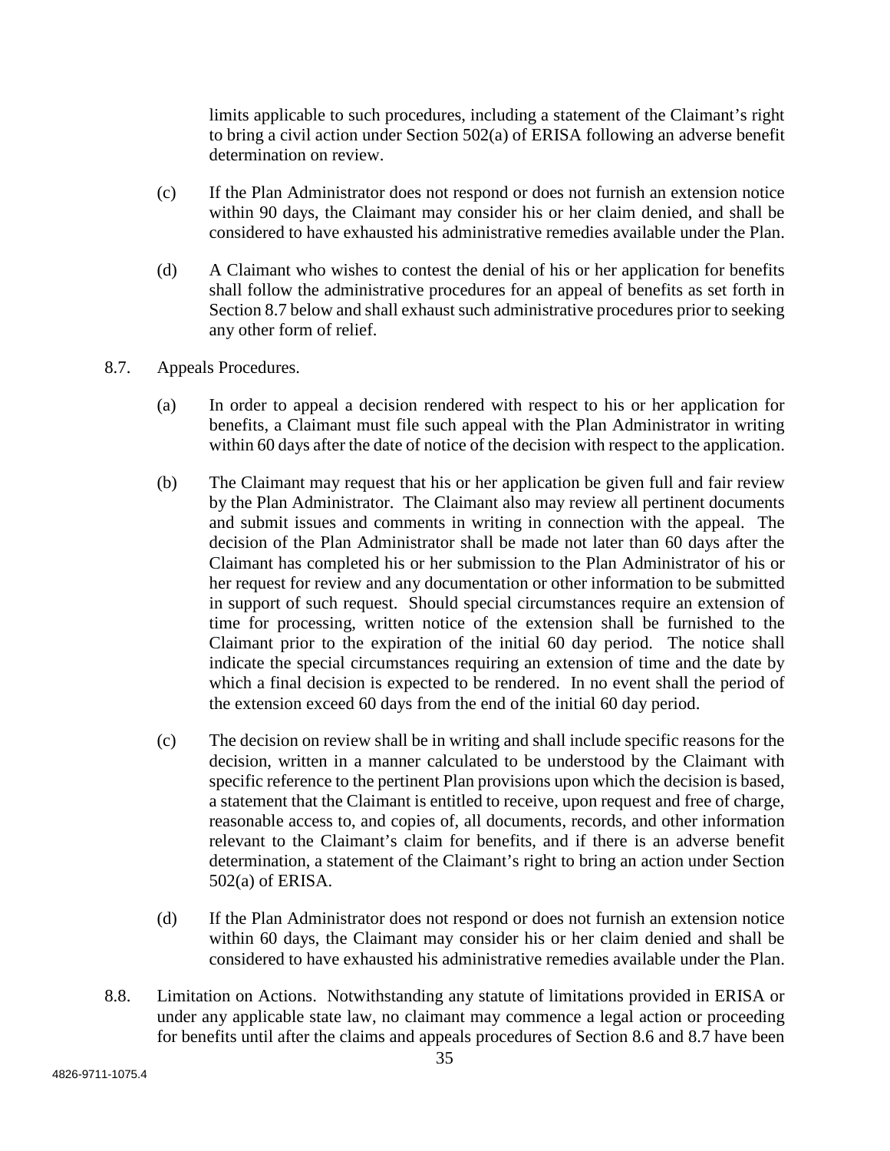limits applicable to such procedures, including a statement of the Claimant's right to bring a civil action under Section 502(a) of ERISA following an adverse benefit determination on review.

- (c) If the Plan Administrator does not respond or does not furnish an extension notice within 90 days, the Claimant may consider his or her claim denied, and shall be considered to have exhausted his administrative remedies available under the Plan.
- (d) A Claimant who wishes to contest the denial of his or her application for benefits shall follow the administrative procedures for an appeal of benefits as set forth in Section 8.7 below and shall exhaust such administrative procedures prior to seeking any other form of relief.
- 8.7. Appeals Procedures.
	- (a) In order to appeal a decision rendered with respect to his or her application for benefits, a Claimant must file such appeal with the Plan Administrator in writing within 60 days after the date of notice of the decision with respect to the application.
	- (b) The Claimant may request that his or her application be given full and fair review by the Plan Administrator. The Claimant also may review all pertinent documents and submit issues and comments in writing in connection with the appeal. The decision of the Plan Administrator shall be made not later than 60 days after the Claimant has completed his or her submission to the Plan Administrator of his or her request for review and any documentation or other information to be submitted in support of such request. Should special circumstances require an extension of time for processing, written notice of the extension shall be furnished to the Claimant prior to the expiration of the initial 60 day period. The notice shall indicate the special circumstances requiring an extension of time and the date by which a final decision is expected to be rendered. In no event shall the period of the extension exceed 60 days from the end of the initial 60 day period.
	- (c) The decision on review shall be in writing and shall include specific reasons for the decision, written in a manner calculated to be understood by the Claimant with specific reference to the pertinent Plan provisions upon which the decision is based, a statement that the Claimant is entitled to receive, upon request and free of charge, reasonable access to, and copies of, all documents, records, and other information relevant to the Claimant's claim for benefits, and if there is an adverse benefit determination, a statement of the Claimant's right to bring an action under Section 502(a) of ERISA.
	- (d) If the Plan Administrator does not respond or does not furnish an extension notice within 60 days, the Claimant may consider his or her claim denied and shall be considered to have exhausted his administrative remedies available under the Plan.
- 8.8. Limitation on Actions. Notwithstanding any statute of limitations provided in ERISA or under any applicable state law, no claimant may commence a legal action or proceeding for benefits until after the claims and appeals procedures of Section 8.6 and 8.7 have been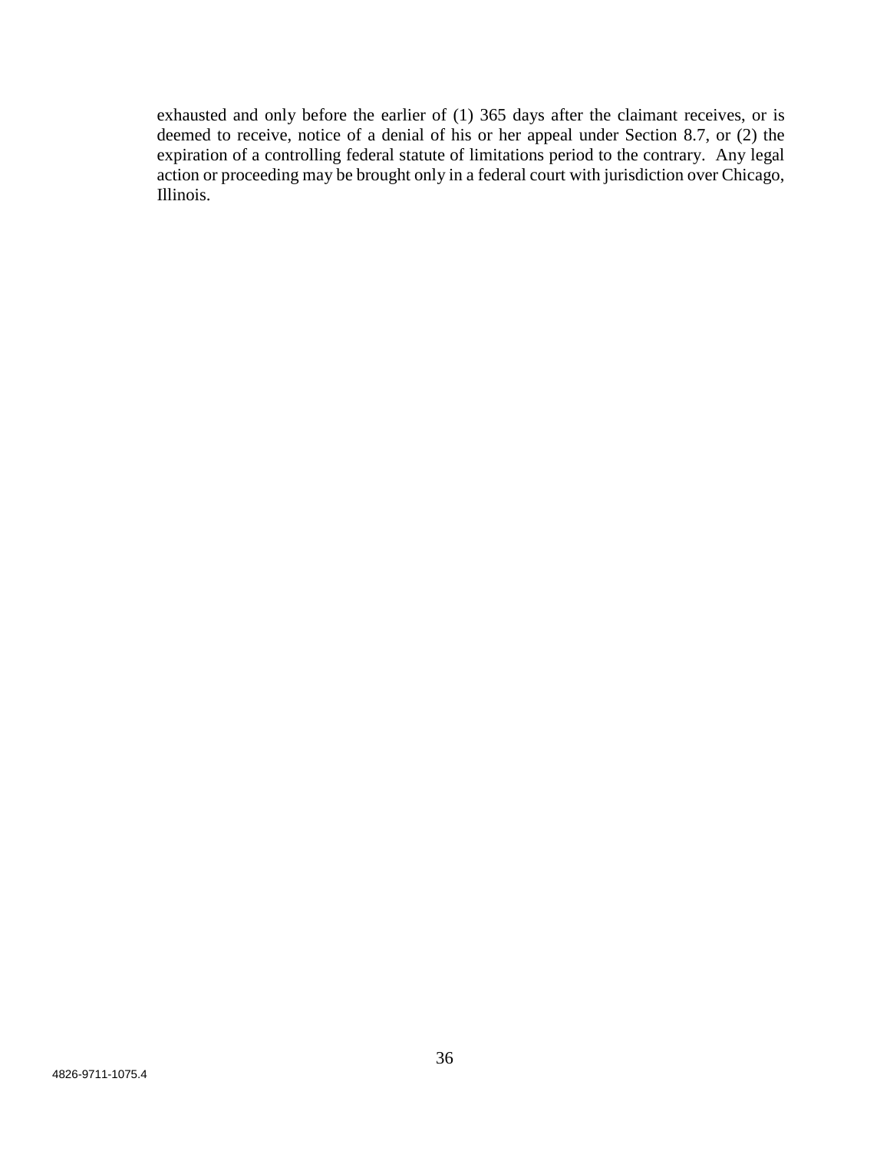exhausted and only before the earlier of (1) 365 days after the claimant receives, or is deemed to receive, notice of a denial of his or her appeal under Section 8.7, or (2) the expiration of a controlling federal statute of limitations period to the contrary. Any legal action or proceeding may be brought only in a federal court with jurisdiction over Chicago, Illinois.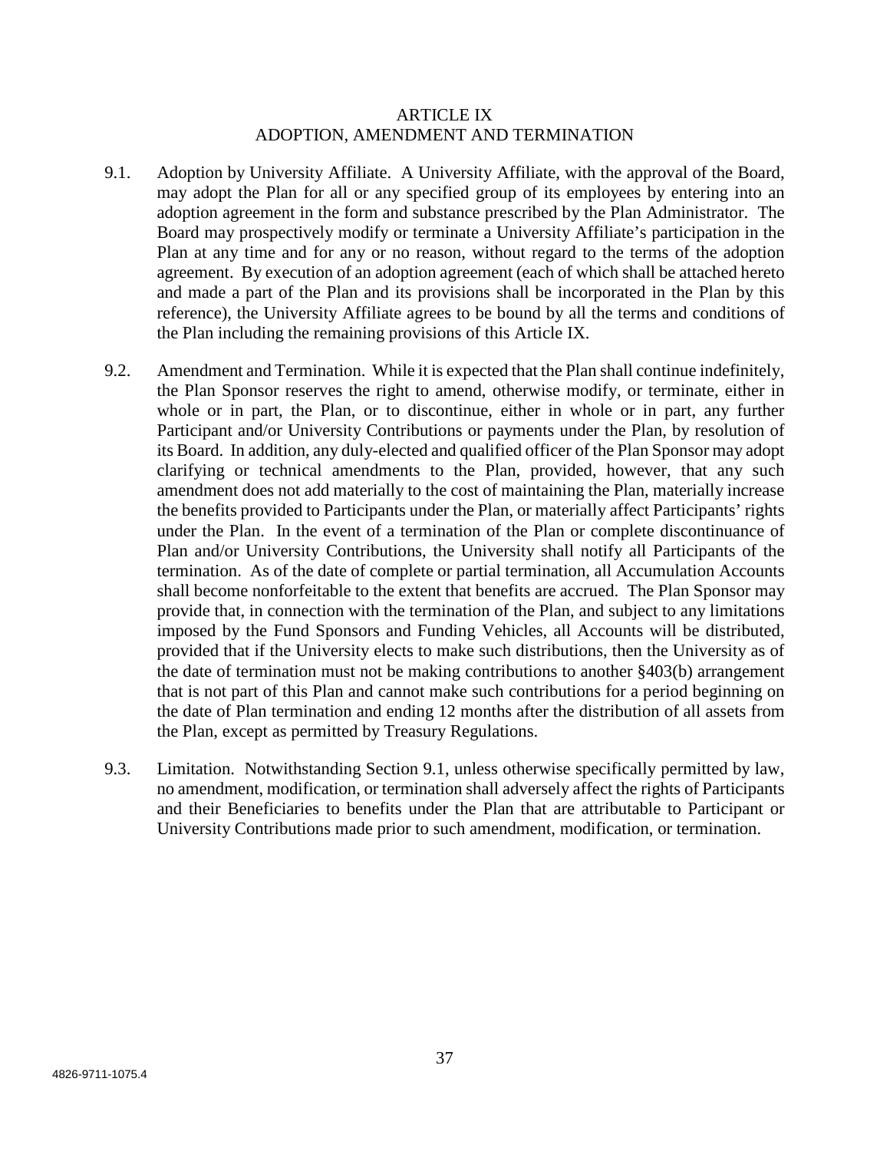### ARTICLE IX ADOPTION, AMENDMENT AND TERMINATION

- 9.1. Adoption by University Affiliate. A University Affiliate, with the approval of the Board, may adopt the Plan for all or any specified group of its employees by entering into an adoption agreement in the form and substance prescribed by the Plan Administrator. The Board may prospectively modify or terminate a University Affiliate's participation in the Plan at any time and for any or no reason, without regard to the terms of the adoption agreement. By execution of an adoption agreement (each of which shall be attached hereto and made a part of the Plan and its provisions shall be incorporated in the Plan by this reference), the University Affiliate agrees to be bound by all the terms and conditions of the Plan including the remaining provisions of this Article IX.
- 9.2. Amendment and Termination. While it is expected that the Plan shall continue indefinitely, the Plan Sponsor reserves the right to amend, otherwise modify, or terminate, either in whole or in part, the Plan, or to discontinue, either in whole or in part, any further Participant and/or University Contributions or payments under the Plan, by resolution of its Board. In addition, any duly-elected and qualified officer of the Plan Sponsor may adopt clarifying or technical amendments to the Plan, provided, however, that any such amendment does not add materially to the cost of maintaining the Plan, materially increase the benefits provided to Participants under the Plan, or materially affect Participants' rights under the Plan. In the event of a termination of the Plan or complete discontinuance of Plan and/or University Contributions, the University shall notify all Participants of the termination. As of the date of complete or partial termination, all Accumulation Accounts shall become nonforfeitable to the extent that benefits are accrued. The Plan Sponsor may provide that, in connection with the termination of the Plan, and subject to any limitations imposed by the Fund Sponsors and Funding Vehicles, all Accounts will be distributed, provided that if the University elects to make such distributions, then the University as of the date of termination must not be making contributions to another §403(b) arrangement that is not part of this Plan and cannot make such contributions for a period beginning on the date of Plan termination and ending 12 months after the distribution of all assets from the Plan, except as permitted by Treasury Regulations.
- 9.3. Limitation. Notwithstanding Section 9.1, unless otherwise specifically permitted by law, no amendment, modification, or termination shall adversely affect the rights of Participants and their Beneficiaries to benefits under the Plan that are attributable to Participant or University Contributions made prior to such amendment, modification, or termination.